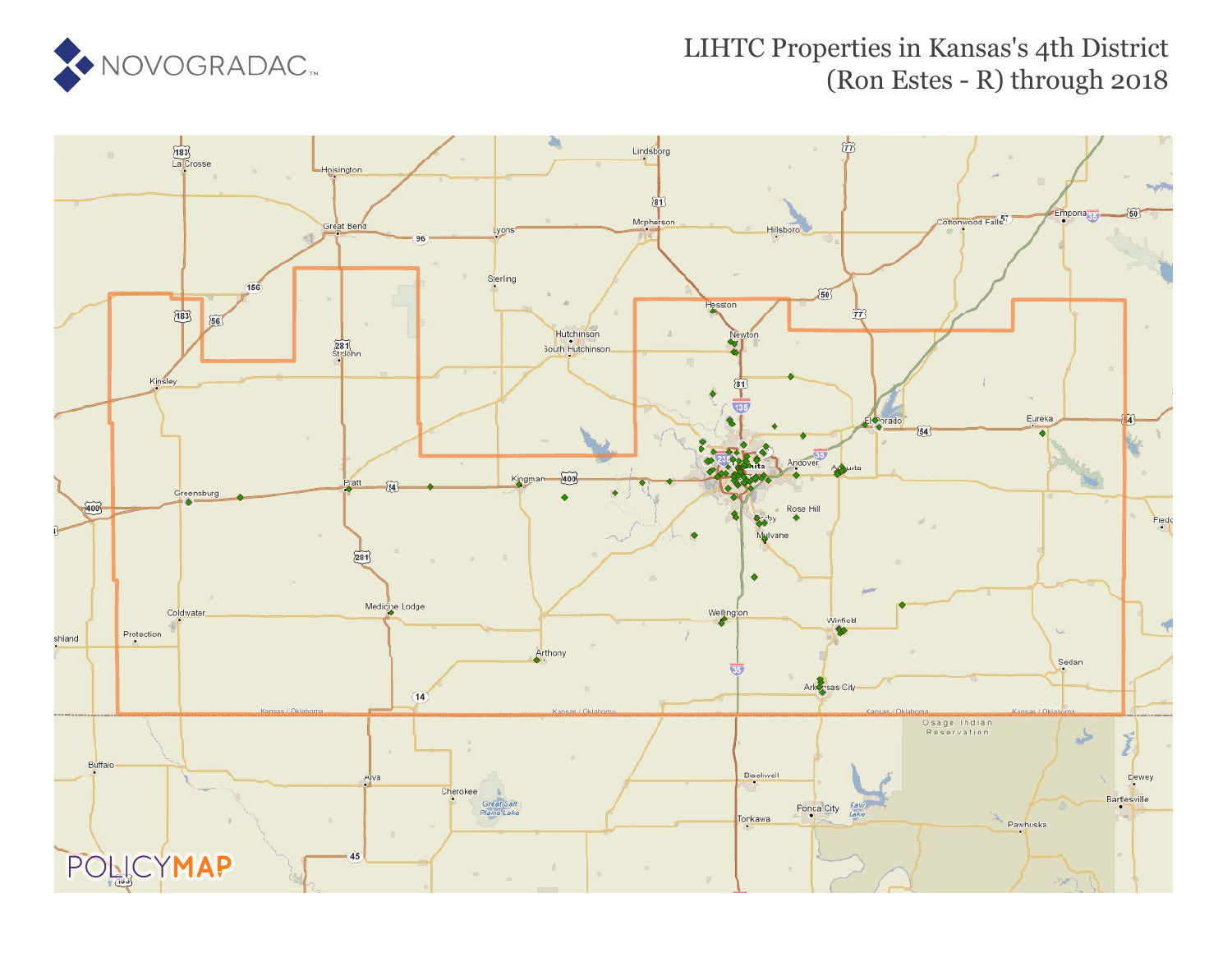

### LIHTC Properties in Kansas's 4th District (Ron Estes - R) through 2018

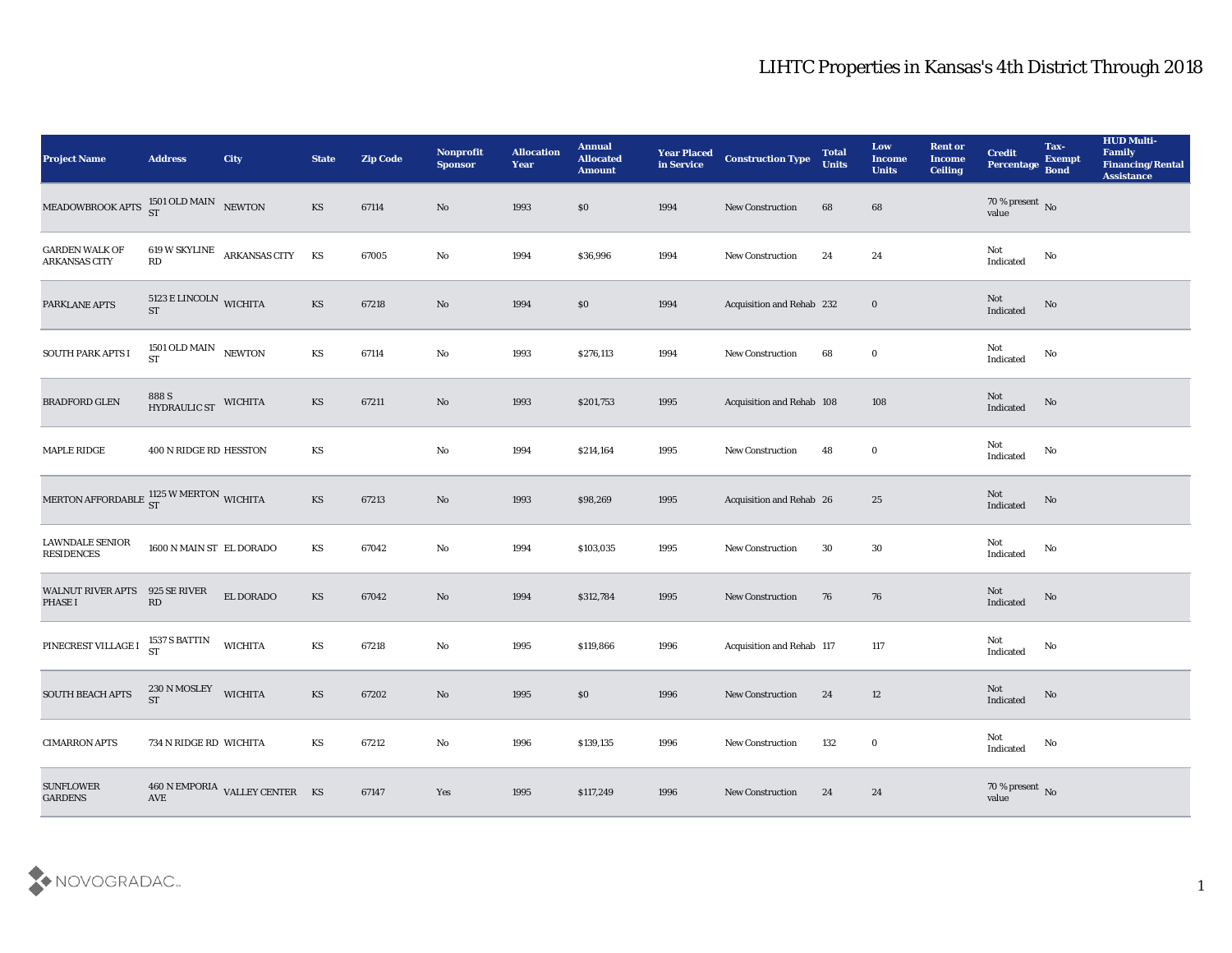| <b>Project Name</b>                               | <b>Address</b>                        | City                           | <b>State</b>           | <b>Zip Code</b> | Nonprofit<br>Sponsor   | <b>Allocation</b><br><b>Year</b> | <b>Annual</b><br><b>Allocated</b><br><b>Amount</b> | <b>Year Placed</b><br>in Service | <b>Construction Type</b>  | <b>Total</b><br><b>Units</b> | Low<br><b>Income</b><br><b>Units</b> | <b>Rent or</b><br><b>Income</b><br><b>Ceiling</b> | <b>Credit</b><br>Percentage Bond  | Tax-<br><b>Exempt</b> | <b>HUD Multi-</b><br>Family<br><b>Financing/Rental</b><br><b>Assistance</b> |
|---------------------------------------------------|---------------------------------------|--------------------------------|------------------------|-----------------|------------------------|----------------------------------|----------------------------------------------------|----------------------------------|---------------------------|------------------------------|--------------------------------------|---------------------------------------------------|-----------------------------------|-----------------------|-----------------------------------------------------------------------------|
| MEADOWBROOK APTS $^{1501}_{ST}$ OLD MAIN NEWTON   |                                       |                                | KS                     | 67114           | No                     | 1993                             | \$0                                                | 1994                             | New Construction          | 68                           | 68                                   |                                                   | $70$ % present $\,$ No $\,$ value |                       |                                                                             |
| <b>GARDEN WALK OF</b><br><b>ARKANSAS CITY</b>     | RD                                    | 619 W SKYLINE ARKANSAS CITY    | KS                     | 67005           | $\mathbf{No}$          | 1994                             | \$36,996                                           | 1994                             | New Construction          | 24                           | 24                                   |                                                   | Not<br>Indicated                  | No                    |                                                                             |
| PARKLANE APTS                                     | $5123$ E LINCOLN WICHITA<br><b>ST</b> |                                | KS                     | 67218           | $\rm \bf No$           | 1994                             | \$0                                                | 1994                             | Acquisition and Rehab 232 |                              | $\bf{0}$                             |                                                   | Not<br>Indicated                  | $\mathbf {No}$        |                                                                             |
| SOUTH PARK APTS I                                 | 1501 OLD MAIN NEWTON<br><b>ST</b>     |                                | $\mathbf{K}\mathbf{S}$ | 67114           | $\rm\thinspace No$     | 1993                             | \$276,113                                          | 1994                             | New Construction          | 68                           | $\bf{0}$                             |                                                   | Not<br>$\operatorname{Indicated}$ | No                    |                                                                             |
| <b>BRADFORD GLEN</b>                              | 888 S<br>HYDRAULIC ST                 | <b>WICHITA</b>                 | $\mathbf{K}\mathbf{S}$ | 67211           | No                     | 1993                             | \$201,753                                          | 1995                             | Acquisition and Rehab 108 |                              | 108                                  |                                                   | Not<br>Indicated                  | No                    |                                                                             |
| MAPLE RIDGE                                       | 400 N RIDGE RD HESSTON                |                                | KS                     |                 | $\mathbf {No}$         | 1994                             | \$214,164                                          | 1995                             | New Construction          | 48                           | $\bf{0}$                             |                                                   | Not<br>Indicated                  | No                    |                                                                             |
| MERTON AFFORDABLE $_{ST}^{1125}$ W MERTON WICHITA |                                       |                                | KS                     | 67213           | No                     | 1993                             | \$98,269                                           | 1995                             | Acquisition and Rehab 26  |                              | 25                                   |                                                   | Not<br>Indicated                  | $\mathbf {No}$        |                                                                             |
| <b>LAWNDALE SENIOR</b><br><b>RESIDENCES</b>       | 1600 N MAIN ST EL DORADO              |                                | KS                     | 67042           | No                     | 1994                             | \$103,035                                          | 1995                             | New Construction          | 30                           | 30                                   |                                                   | Not<br>Indicated                  | No                    |                                                                             |
| <b>WALNUT RIVER APTS</b><br><b>PHASE I</b>        | 925 SE RIVER<br>RD                    | EL DORADO                      | KS                     | 67042           | No                     | 1994                             | \$312,784                                          | 1995                             | <b>New Construction</b>   | 76                           | 76                                   |                                                   | Not<br>Indicated                  | No                    |                                                                             |
| PINECREST VILLAGE I                               | 1537 S BATTIN<br>ST                   | <b>WICHITA</b>                 | KS                     | 67218           | $\mathbf{N}\mathbf{o}$ | 1995                             | \$119,866                                          | 1996                             | Acquisition and Rehab 117 |                              | 117                                  |                                                   | Not<br>Indicated                  | $\mathbf{No}$         |                                                                             |
| SOUTH BEACH APTS                                  | 230 N MOSLEY<br><b>ST</b>             | <b>WICHITA</b>                 | KS                     | 67202           | No                     | 1995                             | \$0                                                | 1996                             | <b>New Construction</b>   | 24                           | 12                                   |                                                   | Not<br>Indicated                  | No                    |                                                                             |
| <b>CIMARRON APTS</b>                              | 734 N RIDGE RD WICHITA                |                                | $\mathbf{K}\mathbf{S}$ | 67212           | $\rm\thinspace No$     | 1996                             | \$139,135                                          | 1996                             | New Construction          | 132                          | $\bf{0}$                             |                                                   | Not<br>Indicated                  | $\mathbf {No}$        |                                                                             |
| <b>SUNFLOWER</b><br><b>GARDENS</b>                | $\operatorname{AVE}$                  | 460 N EMPORIA VALLEY CENTER KS |                        | 67147           | $\mathbf{Yes}$         | 1995                             | \$117,249                                          | 1996                             | <b>New Construction</b>   | 24                           | 24                                   |                                                   | $70\,\%$ present $\,$ No value    |                       |                                                                             |

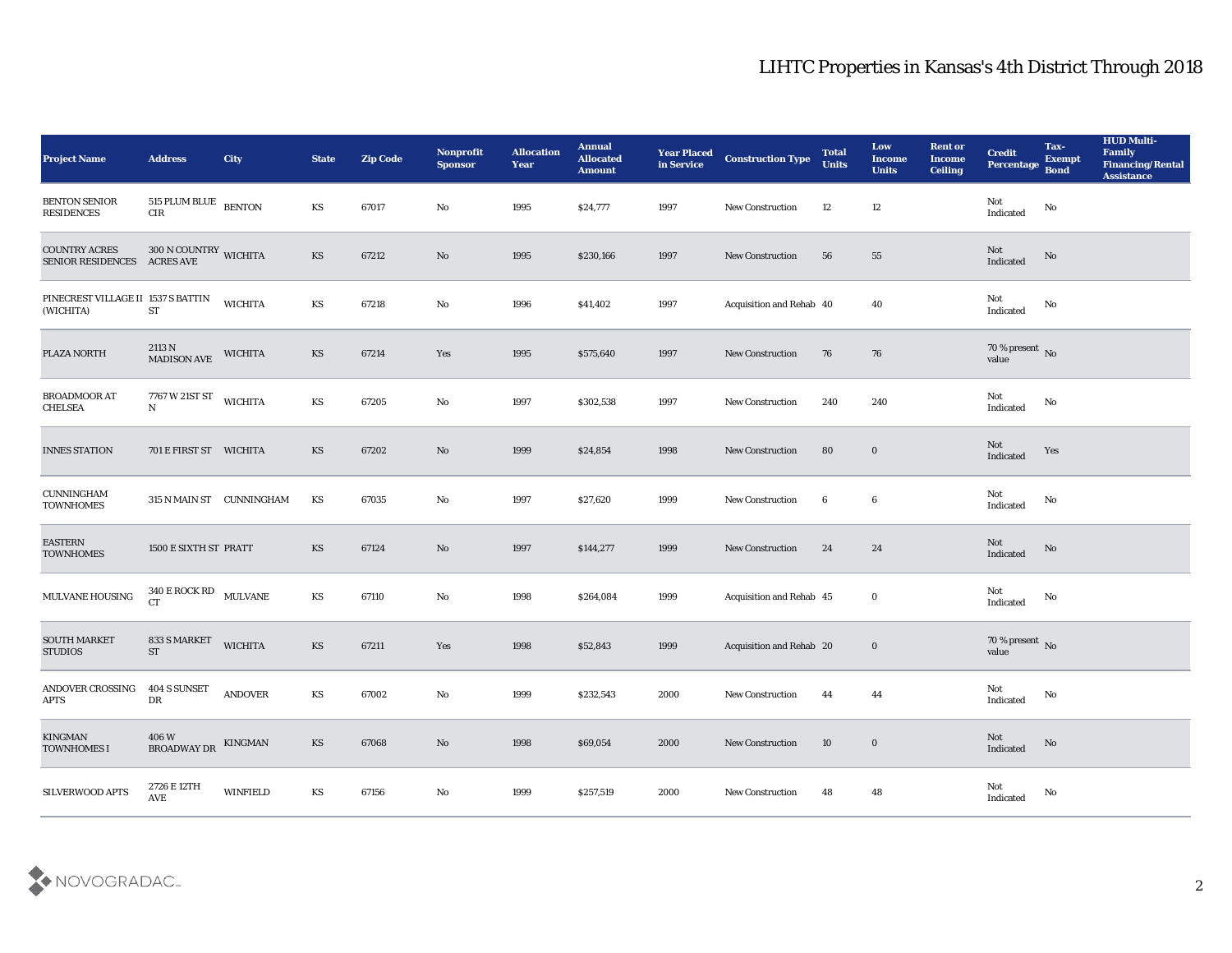| <b>Project Name</b>                              | <b>Address</b>                      | <b>City</b>     | <b>State</b>           | <b>Zip Code</b> | Nonprofit<br><b>Sponsor</b> | <b>Allocation</b><br><b>Year</b> | <b>Annual</b><br><b>Allocated</b><br><b>Amount</b> | <b>Year Placed</b><br>in Service | <b>Construction Type</b> | <b>Total</b><br><b>Units</b> | Low<br><b>Income</b><br><b>Units</b> | <b>Rent or</b><br><b>Income</b><br><b>Ceiling</b> | <b>Credit</b><br>Percentage    | Tax-<br><b>Exempt</b><br><b>Bond</b> | <b>HUD Multi-</b><br>Family<br><b>Financing/Rental</b><br><b>Assistance</b> |
|--------------------------------------------------|-------------------------------------|-----------------|------------------------|-----------------|-----------------------------|----------------------------------|----------------------------------------------------|----------------------------------|--------------------------|------------------------------|--------------------------------------|---------------------------------------------------|--------------------------------|--------------------------------------|-----------------------------------------------------------------------------|
| <b>BENTON SENIOR</b><br><b>RESIDENCES</b>        | 515 PLUM BLUE BENTON<br>$\rm CIR$   |                 | KS                     | 67017           | No                          | 1995                             | \$24,777                                           | 1997                             | <b>New Construction</b>  | 12                           | 12                                   |                                                   | Not<br>Indicated               | No                                   |                                                                             |
| <b>COUNTRY ACRES</b><br><b>SENIOR RESIDENCES</b> | $300$ N COUNTRY WICHITA ACRES AVE   |                 | KS                     | 67212           | No                          | 1995                             | \$230,166                                          | 1997                             | <b>New Construction</b>  | 56                           | 55                                   |                                                   | Not<br>Indicated               | No                                   |                                                                             |
| PINECREST VILLAGE II 1537 S BATTIN<br>(WICHITA)  | ${\cal S}{\cal T}$                  | <b>WICHITA</b>  | KS                     | 67218           | No                          | 1996                             | \$41,402                                           | 1997                             | Acquisition and Rehab 40 |                              | 40                                   |                                                   | Not<br>Indicated               | $\mathbf{N}\mathbf{o}$               |                                                                             |
| PLAZA NORTH                                      | 2113 N<br><b>MADISON AVE</b>        | <b>WICHITA</b>  | KS                     | 67214           | Yes                         | 1995                             | \$575,640                                          | 1997                             | <b>New Construction</b>  | 76                           | 76                                   |                                                   | $70\,\%$ present $\,$ No value |                                      |                                                                             |
| <b>BROADMOOR AT</b><br><b>CHELSEA</b>            | 7767 W 21ST ST<br>${\bf N}$         | <b>WICHITA</b>  | KS                     | 67205           | $\rm\thinspace No$          | 1997                             | \$302,538                                          | 1997                             | <b>New Construction</b>  | 240                          | 240                                  |                                                   | Not<br>Indicated               | No                                   |                                                                             |
| <b>INNES STATION</b>                             | 701 E FIRST ST WICHITA              |                 | KS                     | 67202           | No                          | 1999                             | \$24,854                                           | 1998                             | <b>New Construction</b>  | 80                           | $\bf{0}$                             |                                                   | Not<br>Indicated               | Yes                                  |                                                                             |
| <b>CUNNINGHAM</b><br><b>TOWNHOMES</b>            | 315 N MAIN ST CUNNINGHAM            |                 | KS                     | 67035           | No                          | 1997                             | \$27,620                                           | 1999                             | <b>New Construction</b>  | 6                            | 6                                    |                                                   | Not<br>Indicated               | No                                   |                                                                             |
| <b>EASTERN</b><br><b>TOWNHOMES</b>               | 1500 E SIXTH ST PRATT               |                 | KS                     | 67124           | No                          | 1997                             | \$144,277                                          | 1999                             | <b>New Construction</b>  | 24                           | 24                                   |                                                   | Not<br>Indicated               | No                                   |                                                                             |
| MULVANE HOUSING                                  | 340 E ROCK RD MULVANE<br>CT         |                 | $\mathbf{K}\mathbf{S}$ | 67110           | No                          | 1998                             | \$264,084                                          | 1999                             | Acquisition and Rehab 45 |                              | $\bf{0}$                             |                                                   | Not<br>Indicated               | No                                   |                                                                             |
| <b>SOUTH MARKET</b><br><b>STUDIOS</b>            | 833 S MARKET<br><b>ST</b>           | <b>WICHITA</b>  | KS                     | 67211           | Yes                         | 1998                             | \$52,843                                           | 1999                             | Acquisition and Rehab 20 |                              | $\bf{0}$                             |                                                   | $70\,\%$ present $\,$ No value |                                      |                                                                             |
| ANDOVER CROSSING<br><b>APTS</b>                  | 404 S SUNSET<br>DR                  | <b>ANDOVER</b>  | KS                     | 67002           | No                          | 1999                             | \$232,543                                          | 2000                             | New Construction         | 44                           | 44                                   |                                                   | Not<br>Indicated               | No                                   |                                                                             |
| <b>KINGMAN</b><br><b>TOWNHOMES I</b>             | 406 W<br>BROADWAY DR                | KINGMAN         | $\mathbf{K}\mathbf{S}$ | 67068           | $\rm\thinspace No$          | 1998                             | \$69,054                                           | 2000                             | <b>New Construction</b>  | 10                           | $\bf{0}$                             |                                                   | Not<br>Indicated               | $\rm No$                             |                                                                             |
| SILVERWOOD APTS                                  | 2726 E 12TH<br>$\operatorname{AVE}$ | <b>WINFIELD</b> | $\mathbf{K}\mathbf{S}$ | 67156           | $\mathbf {No}$              | 1999                             | \$257,519                                          | 2000                             | New Construction         | 48                           | ${\bf 48}$                           |                                                   | ${\rm Not}$ Indicated          | ${\bf No}$                           |                                                                             |

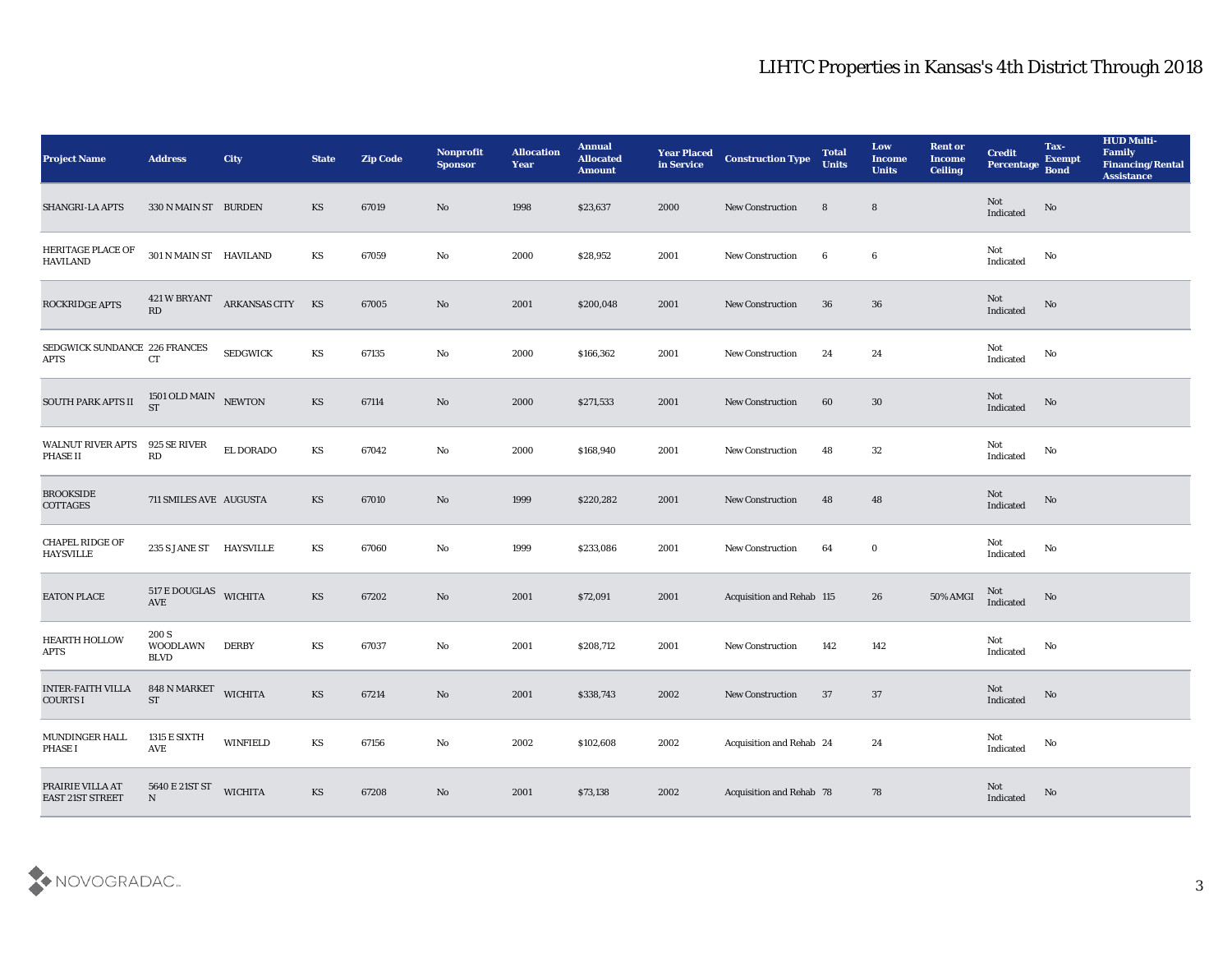| <b>Project Name</b>                          | <b>Address</b>                    | <b>City</b>     | <b>State</b>           | <b>Zip Code</b> | Nonprofit<br><b>Sponsor</b> | <b>Allocation</b><br><b>Year</b> | <b>Annual</b><br><b>Allocated</b><br><b>Amount</b> | <b>Year Placed<br/>in Service</b> | <b>Construction Type</b>  | <b>Total</b><br><b>Units</b> | Low<br><b>Income</b><br><b>Units</b> | <b>Rent or</b><br><b>Income</b><br><b>Ceiling</b> | <b>Credit</b><br>Percentage       | Tax-<br><b>Exempt</b><br><b>Bond</b> | <b>HUD Multi-</b><br>Family<br><b>Financing/Rental</b><br><b>Assistance</b> |
|----------------------------------------------|-----------------------------------|-----------------|------------------------|-----------------|-----------------------------|----------------------------------|----------------------------------------------------|-----------------------------------|---------------------------|------------------------------|--------------------------------------|---------------------------------------------------|-----------------------------------|--------------------------------------|-----------------------------------------------------------------------------|
| SHANGRI-LA APTS                              | 330 N MAIN ST BURDEN              |                 | KS                     | 67019           | No                          | 1998                             | \$23,637                                           | 2000                              | <b>New Construction</b>   | 8                            | $8\phantom{1}$                       |                                                   | Not<br>Indicated                  | No                                   |                                                                             |
| HERITAGE PLACE OF<br><b>HAVILAND</b>         | 301 N MAIN ST HAVILAND            |                 | KS                     | 67059           | No                          | 2000                             | \$28,952                                           | 2001                              | <b>New Construction</b>   | 6                            | $\boldsymbol{6}$                     |                                                   | Not<br>$\operatorname{Indicated}$ | No                                   |                                                                             |
| ROCKRIDGE APTS                               | 421 W BRYANT<br>RD                | ARKANSAS CITY   | KS                     | 67005           | No                          | 2001                             | \$200,048                                          | 2001                              | <b>New Construction</b>   | 36                           | 36                                   |                                                   | Not<br>Indicated                  | No                                   |                                                                             |
| SEDGWICK SUNDANCE 226 FRANCES<br><b>APTS</b> | CT                                | <b>SEDGWICK</b> | KS                     | 67135           | No                          | 2000                             | \$166,362                                          | 2001                              | <b>New Construction</b>   | 24                           | 24                                   |                                                   | Not<br>Indicated                  | No                                   |                                                                             |
| SOUTH PARK APTS II                           | $1501$ OLD MAIN $$\rm NEWTON$$ ST |                 | KS                     | 67114           | No                          | 2000                             | \$271,533                                          | 2001                              | <b>New Construction</b>   | 60                           | 30                                   |                                                   | Not<br>Indicated                  | No                                   |                                                                             |
| <b>WALNUT RIVER APTS</b><br>PHASE II         | 925 SE RIVER<br>RD                | EL DORADO       | KS                     | 67042           | No                          | 2000                             | \$168,940                                          | 2001                              | <b>New Construction</b>   | 48                           | 32                                   |                                                   | Not<br>Indicated                  | No                                   |                                                                             |
| <b>BROOKSIDE</b><br>COTTAGES                 | 711 SMILES AVE AUGUSTA            |                 | KS                     | 67010           | No                          | 1999                             | \$220,282                                          | 2001                              | New Construction          | 48                           | 48                                   |                                                   | Not<br>$\operatorname{Indicated}$ | $\rm No$                             |                                                                             |
| CHAPEL RIDGE OF<br><b>HAYSVILLE</b>          | 235 S JANE ST HAYSVILLE           |                 | KS                     | 67060           | No                          | 1999                             | \$233,086                                          | 2001                              | <b>New Construction</b>   | 64                           | $\bf{0}$                             |                                                   | Not<br>Indicated                  | No                                   |                                                                             |
| EATON PLACE                                  | 517 E DOUGLAS WICHITA<br>AVE      |                 | <b>KS</b>              | 67202           | No                          | 2001                             | \$72,091                                           | 2001                              | Acquisition and Rehab 115 |                              | 26                                   | 50% AMGI                                          | Not<br>Indicated                  | No                                   |                                                                             |
| <b>HEARTH HOLLOW</b><br><b>APTS</b>          | 200 S<br><b>WOODLAWN</b><br>BLVD  | <b>DERBY</b>    | KS                     | 67037           | No                          | 2001                             | \$208,712                                          | 2001                              | <b>New Construction</b>   | 142                          | 142                                  |                                                   | Not<br>Indicated                  | No                                   |                                                                             |
| <b>INTER-FAITH VILLA</b><br><b>COURTS I</b>  | 848 N MARKET<br><b>ST</b>         | <b>WICHITA</b>  | <b>KS</b>              | 67214           | No                          | 2001                             | \$338,743                                          | 2002                              | <b>New Construction</b>   | 37                           | 37                                   |                                                   | Not<br>Indicated                  | No                                   |                                                                             |
| MUNDINGER HALL<br>PHASE I                    | 1315 E SIXTH<br>AVE               | <b>WINFIELD</b> | $\mathbf{K}\mathbf{S}$ | 67156           | $\mathbf {No}$              | 2002                             | \$102,608                                          | 2002                              | Acquisition and Rehab 24  |                              | $\bf 24$                             |                                                   | Not<br>Indicated                  | $\mathbf{N}\mathbf{o}$               |                                                                             |
| PRAIRIE VILLA AT<br>EAST 21ST STREET         | 5640 E 21ST ST<br>${\bf N}$       | <b>WICHITA</b>  | $\mathbf{K}\mathbf{S}$ | 67208           | $\rm\thinspace No$          | 2001                             | \$73,138                                           | 2002                              | Acquisition and Rehab 78  |                              | 78                                   |                                                   | Not<br>Indicated                  | $\mathbf {No}$                       |                                                                             |

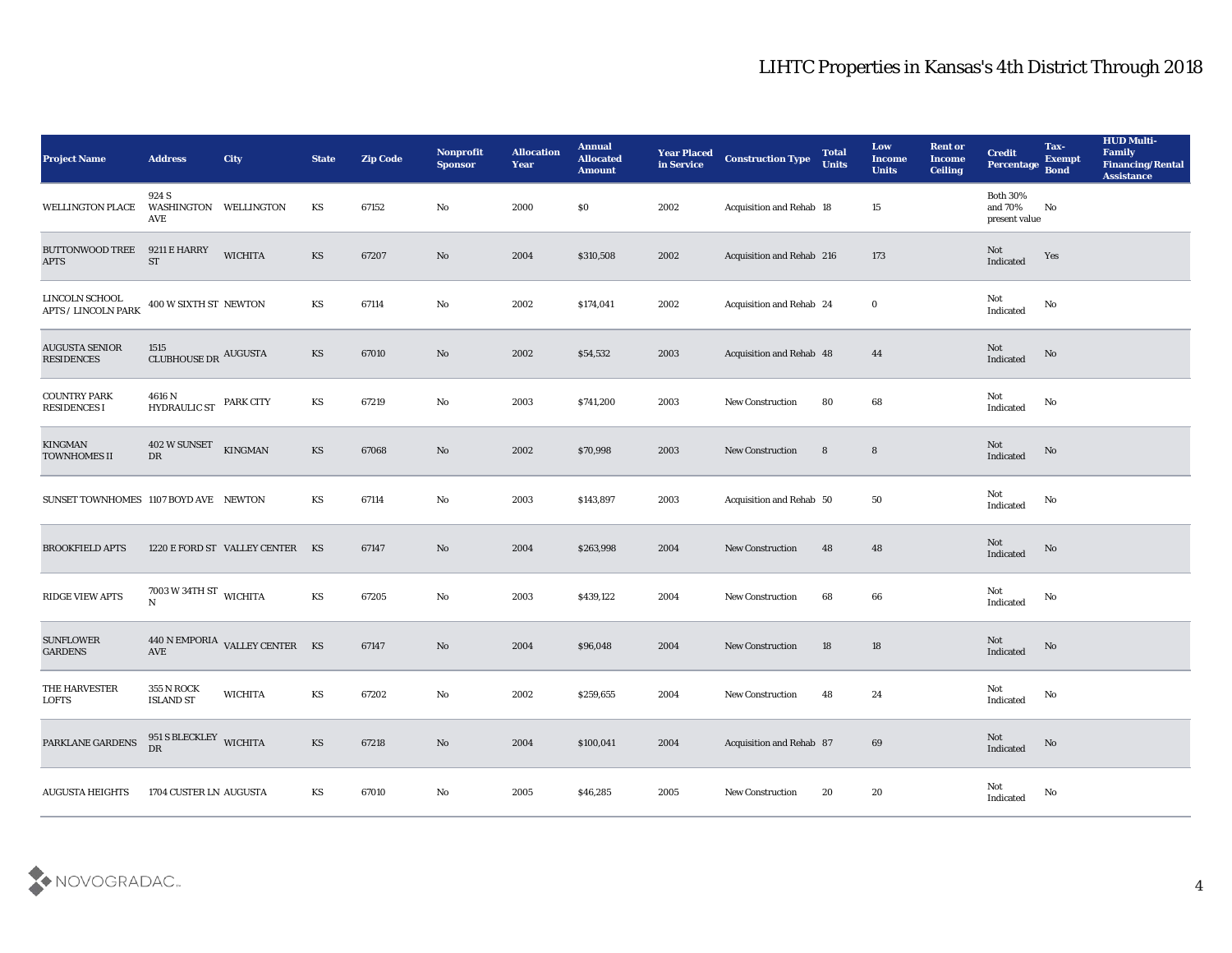| <b>Project Name</b>                          | <b>Address</b>                               | City                             | <b>State</b>           | <b>Zip Code</b> | Nonprofit<br><b>Sponsor</b> | <b>Allocation</b><br><b>Year</b> | <b>Annual</b><br><b>Allocated</b><br><b>Amount</b> | <b>Year Placed</b><br>in Service | <b>Construction Type</b>  | <b>Total</b><br><b>Units</b> | Low<br><b>Income</b><br><b>Units</b> | <b>Rent or</b><br><b>Income</b><br><b>Ceiling</b> | <b>Credit</b><br>Percentage                 | Tax-<br><b>Exempt</b><br><b>Bond</b> | <b>HUD Multi-</b><br>Family<br><b>Financing/Rental</b><br><b>Assistance</b> |
|----------------------------------------------|----------------------------------------------|----------------------------------|------------------------|-----------------|-----------------------------|----------------------------------|----------------------------------------------------|----------------------------------|---------------------------|------------------------------|--------------------------------------|---------------------------------------------------|---------------------------------------------|--------------------------------------|-----------------------------------------------------------------------------|
| <b>WELLINGTON PLACE</b>                      | 924 S<br>WASHINGTON WELLINGTON<br>AVE        |                                  | KS                     | 67152           | No                          | 2000                             | \$0                                                | 2002                             | Acquisition and Rehab 18  |                              | 15                                   |                                                   | <b>Both 30%</b><br>and 70%<br>present value | No                                   |                                                                             |
| <b>BUTTONWOOD TREE</b><br><b>APTS</b>        | 9211 E HARRY<br>ST                           | <b>WICHITA</b>                   | KS                     | 67207           | No                          | 2004                             | \$310,508                                          | 2002                             | Acquisition and Rehab 216 |                              | 173                                  |                                                   | Not<br>Indicated                            | Yes                                  |                                                                             |
| LINCOLN SCHOOL<br><b>APTS / LINCOLN PARK</b> | 400 W SIXTH ST NEWTON                        |                                  | KS                     | 67114           | No                          | 2002                             | \$174,041                                          | 2002                             | Acquisition and Rehab 24  |                              | $\bf{0}$                             |                                                   | Not<br>Indicated                            | No                                   |                                                                             |
| <b>AUGUSTA SENIOR</b><br><b>RESIDENCES</b>   | 1515<br>CLUBHOUSE DR AUGUSTA                 |                                  | KS                     | 67010           | No                          | 2002                             | \$54,532                                           | 2003                             | Acquisition and Rehab 48  |                              | 44                                   |                                                   | Not<br>Indicated                            | No                                   |                                                                             |
| <b>COUNTRY PARK</b><br><b>RESIDENCES I</b>   | 4616 N<br><b>HYDRAULIC ST</b>                | PARK CITY                        | KS                     | 67219           | No                          | 2003                             | \$741,200                                          | 2003                             | <b>New Construction</b>   | 80                           | 68                                   |                                                   | Not<br>Indicated                            | No                                   |                                                                             |
| <b>KINGMAN</b><br><b>TOWNHOMES II</b>        | 402 W SUNSET<br>DR                           | <b>KINGMAN</b>                   | KS                     | 67068           | No                          | 2002                             | \$70,998                                           | 2003                             | <b>New Construction</b>   | $8\phantom{1}$               | $8\phantom{1}$                       |                                                   | Not<br>Indicated                            | No                                   |                                                                             |
| SUNSET TOWNHOMES 1107 BOYD AVE NEWTON        |                                              |                                  | KS                     | 67114           | No                          | 2003                             | \$143,897                                          | 2003                             | Acquisition and Rehab 50  |                              | 50                                   |                                                   | Not<br>Indicated                            | No                                   |                                                                             |
| <b>BROOKFIELD APTS</b>                       |                                              | 1220 E FORD ST VALLEY CENTER KS  |                        | 67147           | No                          | 2004                             | \$263,998                                          | 2004                             | <b>New Construction</b>   | 48                           | 48                                   |                                                   | Not<br>Indicated                            | No                                   |                                                                             |
| <b>RIDGE VIEW APTS</b>                       | $7003$ W 34TH ST $\,$ WICHITA<br>$\mathbf N$ |                                  | KS                     | 67205           | $\mathbf{N}\mathbf{o}$      | 2003                             | \$439,122                                          | 2004                             | <b>New Construction</b>   | 68                           | 66                                   |                                                   | Not<br>Indicated                            | No                                   |                                                                             |
| <b>SUNFLOWER</b><br><b>GARDENS</b>           | AVE                                          | 440 N EMPORIA VALLEY CENTER $KS$ |                        | 67147           | No                          | 2004                             | \$96,048                                           | 2004                             | <b>New Construction</b>   | 18                           | 18                                   |                                                   | Not<br>Indicated                            | No                                   |                                                                             |
| THE HARVESTER<br><b>LOFTS</b>                | <b>355 N ROCK</b><br><b>ISLAND ST</b>        | <b>WICHITA</b>                   | KS                     | 67202           | No                          | 2002                             | \$259,655                                          | 2004                             | <b>New Construction</b>   | 48                           | 24                                   |                                                   | Not<br>Indicated                            | No                                   |                                                                             |
| PARKLANE GARDENS                             | 951 S BLECKLEY WICHITA<br>${\rm D}{\rm R}$   |                                  | $\mathbf{K}\mathbf{S}$ | 67218           | $\mathbf {No}$              | 2004                             | \$100,041                                          | 2004                             | Acquisition and Rehab 87  |                              | 69                                   |                                                   | $\mathbf{Not}$<br>Indicated                 | $\rm \bf No$                         |                                                                             |
| <b>AUGUSTA HEIGHTS</b>                       | 1704 CUSTER LN AUGUSTA                       |                                  | $\mathbf{K}\mathbf{S}$ | 67010           | $\rm\thinspace No$          | $\boldsymbol{2005}$              | \$46,285                                           | 2005                             | New Construction          | 20                           | $20\,$                               |                                                   | $\rm Not$ Indicated                         | $\mathbf{N}\mathbf{o}$               |                                                                             |

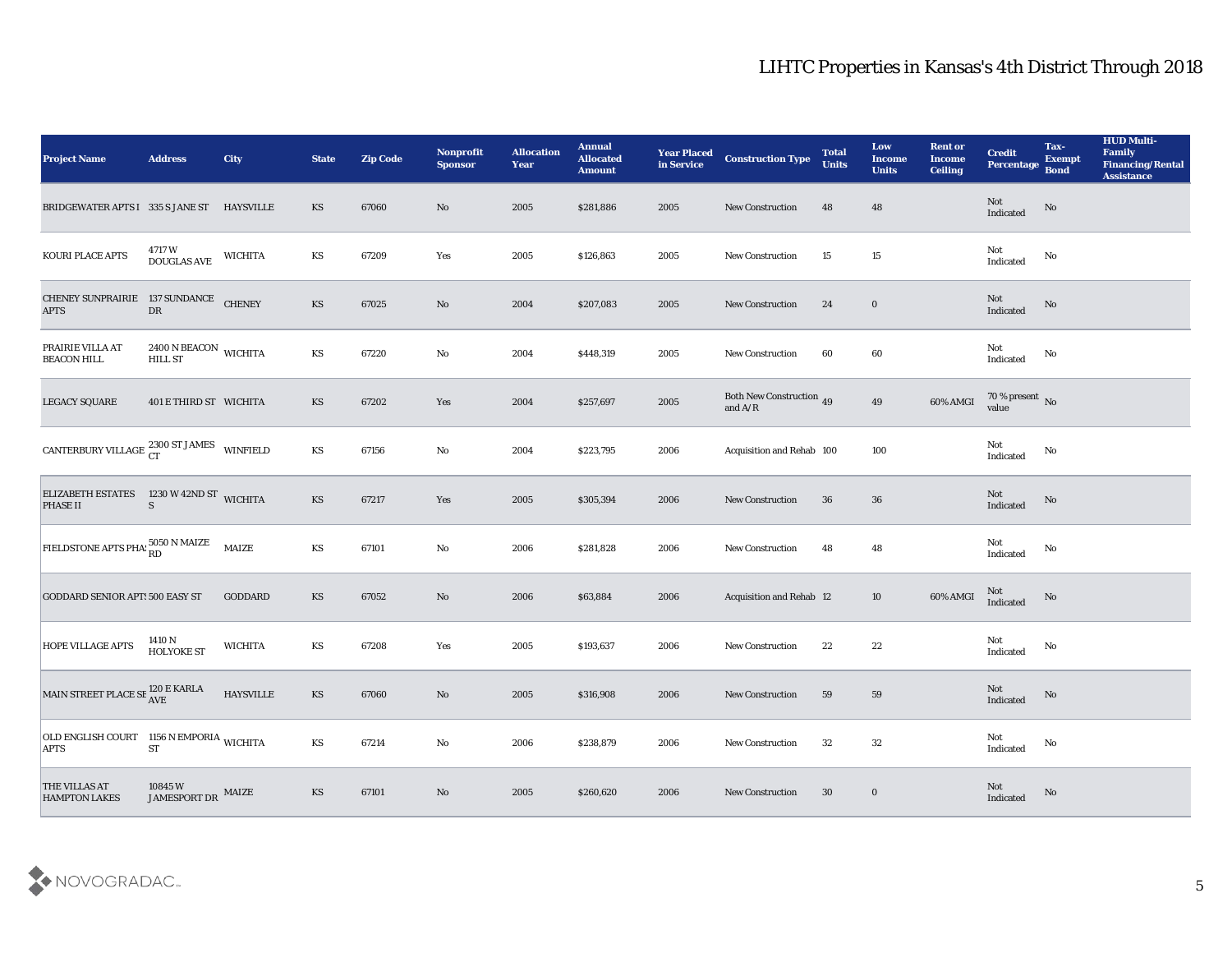| <b>Project Name</b>                                             | <b>Address</b>                                      | City             | <b>State</b>           | <b>Zip Code</b> | Nonprofit<br><b>Sponsor</b> | <b>Allocation</b><br><b>Year</b> | <b>Annual</b><br><b>Allocated</b><br><b>Amount</b> | <b>Year Placed</b><br>in Service | <b>Construction Type</b>              | <b>Total</b><br><b>Units</b> | Low<br><b>Income</b><br><b>Units</b> | <b>Rent or</b><br><b>Income</b><br><b>Ceiling</b> | <b>Credit</b><br>Percentage Bond                  | Tax-<br><b>Exempt</b> | <b>HUD Multi-</b><br>Family<br><b>Financing/Rental</b><br><b>Assistance</b> |
|-----------------------------------------------------------------|-----------------------------------------------------|------------------|------------------------|-----------------|-----------------------------|----------------------------------|----------------------------------------------------|----------------------------------|---------------------------------------|------------------------------|--------------------------------------|---------------------------------------------------|---------------------------------------------------|-----------------------|-----------------------------------------------------------------------------|
| BRIDGEWATER APTS I 335 S JANE ST HAYSVILLE                      |                                                     |                  | KS                     | 67060           | No                          | 2005                             | \$281,886                                          | 2005                             | <b>New Construction</b>               | 48                           | 48                                   |                                                   | Not<br>$\label{thm:indicated} \textbf{Indicated}$ | No                    |                                                                             |
| KOURI PLACE APTS                                                | 4717 W<br>DOUGLAS AVE                               | <b>WICHITA</b>   | KS                     | 67209           | Yes                         | 2005                             | \$126,863                                          | 2005                             | <b>New Construction</b>               | 15                           | 15                                   |                                                   | Not<br>Indicated                                  | No                    |                                                                             |
| CHENEY SUNPRAIRIE 137 SUNDANCE<br><b>APTS</b>                   | ${\rm DR}$                                          | <b>CHENEY</b>    | KS                     | 67025           | No                          | 2004                             | \$207,083                                          | 2005                             | New Construction                      | 24                           | $\bf{0}$                             |                                                   | Not<br>Indicated                                  | No                    |                                                                             |
| PRAIRIE VILLA AT<br><b>BEACON HILL</b>                          | $2400$ N BEACON $_{\rm WICHITA}$<br><b>HILL ST</b>  |                  | KS                     | 67220           | No                          | 2004                             | \$448,319                                          | 2005                             | New Construction                      | 60                           | 60                                   |                                                   | Not<br>Indicated                                  | No                    |                                                                             |
| <b>LEGACY SQUARE</b>                                            | 401 E THIRD ST WICHITA                              |                  | KS                     | 67202           | Yes                         | 2004                             | \$257,697                                          | 2005                             | Both New Construction $\,$ 49 and A/R |                              | 49                                   | 60% AMGI                                          | $70\,\%$ present $\,$ No value                    |                       |                                                                             |
| CANTERBURY VILLAGE $_{\rm CT}^{2300 \text{ ST JAMES}}$ winfield |                                                     |                  | $\mathbf{K}\mathbf{S}$ | 67156           | No                          | 2004                             | \$223,795                                          | 2006                             | Acquisition and Rehab 100             |                              | 100                                  |                                                   | Not<br>Indicated                                  | No                    |                                                                             |
| ELIZABETH ESTATES 1230 W 42ND ST WICHITA<br><b>PHASE II</b>     | S                                                   |                  | KS                     | 67217           | Yes                         | 2005                             | \$305,394                                          | 2006                             | <b>New Construction</b>               | 36                           | 36                                   |                                                   | Not<br>Indicated                                  | No                    |                                                                             |
| FIELDSTONE APTS PHA: 5050 N MAIZE                               |                                                     | <b>MAIZE</b>     | KS                     | 67101           | $\mathbf{N}\mathbf{o}$      | 2006                             | \$281,828                                          | 2006                             | <b>New Construction</b>               | 48                           | 48                                   |                                                   | Not<br>Indicated                                  | No                    |                                                                             |
| <b>GODDARD SENIOR APT: 500 EASY ST</b>                          |                                                     | <b>GODDARD</b>   | KS                     | 67052           | No                          | 2006                             | \$63,884                                           | 2006                             | <b>Acquisition and Rehab 12</b>       |                              | 10                                   | 60% AMGI                                          | Not<br>Indicated                                  | No                    |                                                                             |
| <b>HOPE VILLAGE APTS</b>                                        | 1410 N<br><b>HOLYOKE ST</b>                         | <b>WICHITA</b>   | KS                     | 67208           | Yes                         | 2005                             | \$193,637                                          | 2006                             | <b>New Construction</b>               | 22                           | 22                                   |                                                   | Not<br>Indicated                                  | $\mathbf{No}$         |                                                                             |
| MAIN STREET PLACE SE <sup>120</sup> E KARLA                     |                                                     | <b>HAYSVILLE</b> | KS                     | 67060           | No                          | 2005                             | \$316,908                                          | 2006                             | <b>New Construction</b>               | 59                           | 59                                   |                                                   | Not<br>Indicated                                  | No                    |                                                                             |
| OLD ENGLISH COURT 1156 N EMPORIA WICHITA<br><b>APTS</b>         | ${\cal S}{\cal T}$                                  |                  | $\mathbf{K}\mathbf{S}$ | 67214           | $\rm\thinspace No$          | 2006                             | \$238,879                                          | 2006                             | <b>New Construction</b>               | 32                           | $32\,$                               |                                                   | Not<br>Indicated                                  | $\mathbf {No}$        |                                                                             |
| THE VILLAS AT<br><b>HAMPTON LAKES</b>                           | $10845\,\mathrm{W}$ $$\rm \,MAIZE$$ $$\rm \,MAIZE$$ |                  | $\mathbf{K}\mathbf{S}$ | 67101           | $\mathbf {No}$              | 2005                             | \$260,620                                          | 2006                             | New Construction                      | 30                           | $\bf{0}$                             |                                                   | Not<br>Indicated                                  | $\rm No$              |                                                                             |

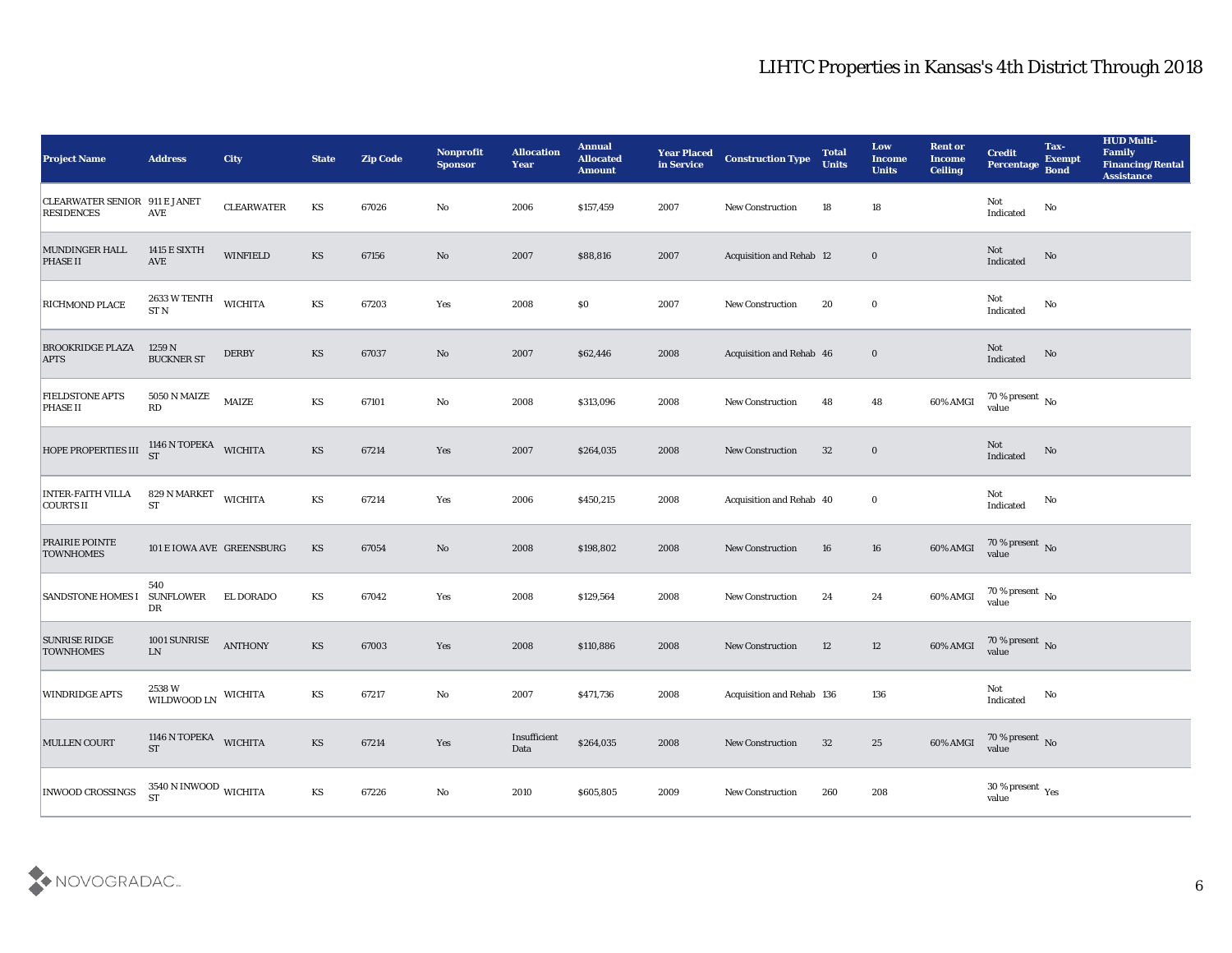| <b>Project Name</b>                                       | <b>Address</b>                              | <b>City</b>       | <b>State</b>           | <b>Zip Code</b> | Nonprofit<br><b>Sponsor</b> | <b>Allocation</b><br><b>Year</b> | <b>Annual</b><br><b>Allocated</b><br><b>Amount</b> | <b>Year Placed</b><br>in Service | <b>Construction Type</b>  | <b>Total</b><br><b>Units</b> | Low<br><b>Income</b><br><b>Units</b> | <b>Rent or</b><br><b>Income</b><br><b>Ceiling</b> | <b>Credit</b><br>Percentage                                                                                          | Tax-<br><b>Exempt</b><br><b>Bond</b> | <b>HUD Multi-</b><br>Family<br><b>Financing/Rental</b><br><b>Assistance</b> |
|-----------------------------------------------------------|---------------------------------------------|-------------------|------------------------|-----------------|-----------------------------|----------------------------------|----------------------------------------------------|----------------------------------|---------------------------|------------------------------|--------------------------------------|---------------------------------------------------|----------------------------------------------------------------------------------------------------------------------|--------------------------------------|-----------------------------------------------------------------------------|
| <b>CLEARWATER SENIOR 911 E JANET</b><br><b>RESIDENCES</b> | AVE                                         | <b>CLEARWATER</b> | KS                     | 67026           | No                          | 2006                             | \$157,459                                          | 2007                             | <b>New Construction</b>   | 18                           | 18                                   |                                                   | Not<br>Indicated                                                                                                     | $\rm No$                             |                                                                             |
| MUNDINGER HALL<br><b>PHASE II</b>                         | <b>1415 E SIXTH</b><br>$\operatorname{AVE}$ | <b>WINFIELD</b>   | KS                     | 67156           | No                          | 2007                             | \$88,816                                           | 2007                             | Acquisition and Rehab 12  |                              | $\bf{0}$                             |                                                   | Not<br>Indicated                                                                                                     | No                                   |                                                                             |
| RICHMOND PLACE                                            | 2633 W TENTH<br>ST N                        | <b>WICHITA</b>    | KS                     | 67203           | Yes                         | 2008                             | \$0                                                | 2007                             | New Construction          | 20                           | $\bf{0}$                             |                                                   | Not<br>Indicated                                                                                                     | No                                   |                                                                             |
| <b>BROOKRIDGE PLAZA</b><br><b>APTS</b>                    | 1259 N<br><b>BUCKNER ST</b>                 | <b>DERBY</b>      | KS                     | 67037           | No                          | 2007                             | \$62,446                                           | 2008                             | Acquisition and Rehab 46  |                              | $\bf{0}$                             |                                                   | Not<br>Indicated                                                                                                     | No                                   |                                                                             |
| <b>FIELDSTONE APTS</b><br><b>PHASE II</b>                 | 5050 N MAIZE<br>$\mathbf{R}\mathbf{D}$      | MAIZE             | $\mathbf{K}\mathbf{S}$ | 67101           | No                          | 2008                             | \$313,096                                          | 2008                             | <b>New Construction</b>   | 48                           | 48                                   | 60% AMGI                                          | $70\,\%$ present $\,$ No value                                                                                       |                                      |                                                                             |
| <b>HOPE PROPERTIES III</b>                                | 1146 N TOPEKA<br><b>ST</b>                  | <b>WICHITA</b>    | <b>KS</b>              | 67214           | Yes                         | 2007                             | \$264,035                                          | 2008                             | <b>New Construction</b>   | 32                           | $\bf{0}$                             |                                                   | Not<br>Indicated                                                                                                     | No                                   |                                                                             |
| <b>INTER-FAITH VILLA</b><br><b>COURTS II</b>              | 829 N MARKET<br><b>ST</b>                   | <b>WICHITA</b>    | KS                     | 67214           | Yes                         | 2006                             | \$450,215                                          | 2008                             | Acquisition and Rehab 40  |                              | $\bf{0}$                             |                                                   | Not<br>Indicated                                                                                                     | No                                   |                                                                             |
| <b>PRAIRIE POINTE</b><br><b>TOWNHOMES</b>                 | 101 E IOWA AVE GREENSBURG                   |                   | <b>KS</b>              | 67054           | No                          | 2008                             | \$198,802                                          | 2008                             | <b>New Construction</b>   | 16                           | 16                                   | 60% AMGI                                          | 70 % present No<br>value                                                                                             |                                      |                                                                             |
| <b>SANDSTONE HOMES I</b>                                  | 540<br><b>SUNFLOWER</b><br>DR               | EL DORADO         | KS                     | 67042           | Yes                         | 2008                             | \$129,564                                          | 2008                             | New Construction          | 24                           | 24                                   | 60% AMGI                                          | $70\,\%$ present $\,$ No value                                                                                       |                                      |                                                                             |
| <b>SUNRISE RIDGE</b><br><b>TOWNHOMES</b>                  | 1001 SUNRISE<br>${\rm LN}$                  | <b>ANTHONY</b>    | KS                     | 67003           | Yes                         | 2008                             | \$110,886                                          | 2008                             | <b>New Construction</b>   | 12                           | 12                                   | 60% AMGI                                          | $70\,\%$ present $\,$ No value                                                                                       |                                      |                                                                             |
| <b>WINDRIDGE APTS</b>                                     | 2538 W<br>WILDWOOD LN                       | <b>WICHITA</b>    | KS                     | 67217           | No                          | 2007                             | \$471,736                                          | 2008                             | Acquisition and Rehab 136 |                              | 136                                  |                                                   | Not<br>Indicated                                                                                                     | No                                   |                                                                             |
| MULLEN COURT                                              | 1146 N TOPEKA WICHITA<br><b>ST</b>          |                   | $\mathbf{K}\mathbf{S}$ | 67214           | $\mathbf{Yes}$              | Insufficient<br>Data             | \$264,035                                          | 2008                             | New Construction          | 32                           | 25                                   |                                                   | $60\% \, \text{AMGI} \quad \begin{array}{l} \text{70}\,\% \,\text{present} \\ \text{value} \end{array} \, \text{No}$ |                                      |                                                                             |
| <b>INWOOD CROSSINGS</b>                                   | $3540$ N INWOOD $\,$ WICHITA $S\!T\,$       |                   | $\mathbf{K}\mathbf{S}$ | 67226           | $\mathbf {No}$              | 2010                             | \$605,805                                          | 2009                             | New Construction          | 260                          | 208                                  |                                                   | $30\,\%$ present $\,$ Yes value                                                                                      |                                      |                                                                             |

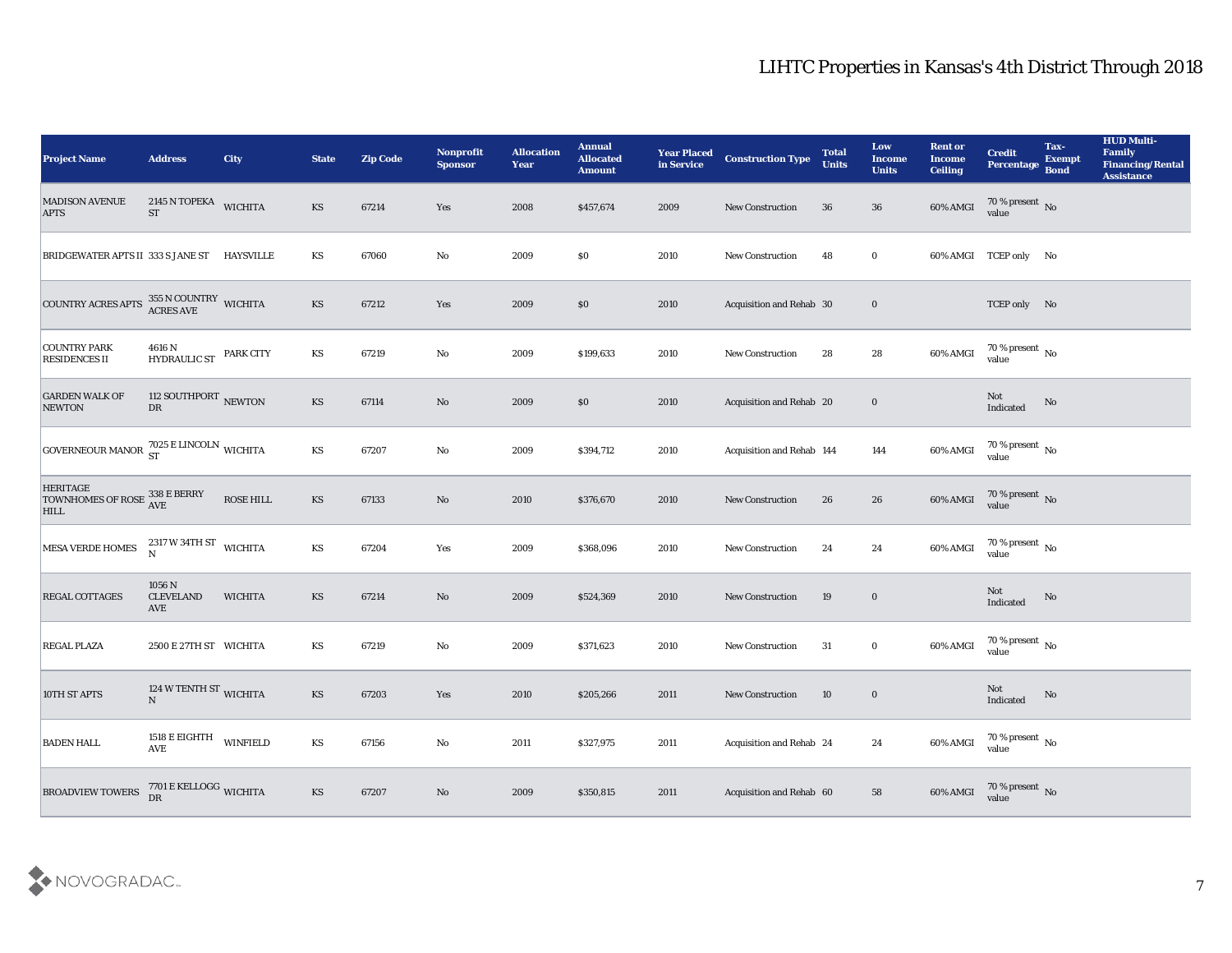| <b>Project Name</b>                                                     | <b>Address</b>                                                           | <b>City</b>      | <b>State</b>           | <b>Zip Code</b> | Nonprofit<br><b>Sponsor</b> | <b>Allocation</b><br><b>Year</b> | <b>Annual</b><br><b>Allocated</b><br><b>Amount</b> | <b>Year Placed</b><br>in Service | <b>Construction Type</b>  | <b>Total</b><br><b>Units</b> | Low<br><b>Income</b><br><b>Units</b> | <b>Rent or</b><br><b>Income</b><br><b>Ceiling</b> | <b>Credit</b><br>Percentage          | Tax-<br><b>Exempt</b><br><b>Bond</b> | <b>HUD Multi-</b><br>Family<br><b>Financing/Rental</b><br><b>Assistance</b> |
|-------------------------------------------------------------------------|--------------------------------------------------------------------------|------------------|------------------------|-----------------|-----------------------------|----------------------------------|----------------------------------------------------|----------------------------------|---------------------------|------------------------------|--------------------------------------|---------------------------------------------------|--------------------------------------|--------------------------------------|-----------------------------------------------------------------------------|
| <b>MADISON AVENUE</b><br><b>APTS</b>                                    | 2145 N TOPEKA WICHITA<br><b>ST</b>                                       |                  | <b>KS</b>              | 67214           | Yes                         | 2008                             | \$457,674                                          | 2009                             | <b>New Construction</b>   | 36                           | 36                                   | 60% AMGI                                          | $70\%$ present No<br>value           |                                      |                                                                             |
| BRIDGEWATER APTS II 333 S JANE ST                                       |                                                                          | HAYSVILLE        | KS                     | 67060           | No                          | 2009                             | $\$0$                                              | 2010                             | <b>New Construction</b>   | 48                           | $\bf{0}$                             |                                                   | 60% AMGI TCEP only No                |                                      |                                                                             |
| <b>COUNTRY ACRES APTS</b>                                               | $355$ N COUNTRY $\,$ WICHITA ACRES AVE                                   |                  | <b>KS</b>              | 67212           | Yes                         | 2009                             | \$0                                                | 2010                             | Acquisition and Rehab 30  |                              | $\bf{0}$                             |                                                   | TCEP only No                         |                                      |                                                                             |
| <b>COUNTRY PARK</b><br><b>RESIDENCES II</b>                             | 4616 N<br>HYDRAULIC ST                                                   | <b>PARK CITY</b> | KS                     | 67219           | No                          | 2009                             | \$199,633                                          | 2010                             | <b>New Construction</b>   | 28                           | 28                                   | 60% AMGI                                          | $70\,\%$ present $\,$ No value       |                                      |                                                                             |
| <b>GARDEN WALK OF</b><br><b>NEWTON</b>                                  | 112 SOUTHPORT NEWTON<br>DR                                               |                  | <b>KS</b>              | 67114           | No                          | 2009                             | \$0\$                                              | 2010                             | Acquisition and Rehab 20  |                              | $\bf{0}$                             |                                                   | Not<br>Indicated                     | No                                   |                                                                             |
| GOVERNEOUR MANOR 7025 E LINCOLN WICHITA                                 |                                                                          |                  | KS                     | 67207           | No                          | 2009                             | \$394,712                                          | 2010                             | Acquisition and Rehab 144 |                              | 144                                  | 60% AMGI                                          | $70\,\%$ present $\,$ No value       |                                      |                                                                             |
| <b>HERITAGE</b><br>TOWNHOMES OF ROSE 338 E BERRY<br>IULI<br><b>HILL</b> |                                                                          | ROSE HILL        | <b>KS</b>              | 67133           | No                          | 2010                             | \$376,670                                          | 2010                             | <b>New Construction</b>   | 26                           | 26                                   | 60% AMGI                                          | $70\,\%$ present $\,$ No value       |                                      |                                                                             |
| MESA VERDE HOMES                                                        | $2317\,\mathrm{W}\,34\mathrm{TH}\,\mathrm{ST}$ WICHITA<br>$\overline{N}$ |                  | KS                     | 67204           | Yes                         | 2009                             | \$368,096                                          | 2010                             | <b>New Construction</b>   | 24                           | 24                                   | 60% AMGI                                          | 70 % present $\sqrt{\ }$ No<br>value |                                      |                                                                             |
| <b>REGAL COTTAGES</b>                                                   | 1056 N<br><b>CLEVELAND</b><br><b>AVE</b>                                 | <b>WICHITA</b>   | <b>KS</b>              | 67214           | No                          | 2009                             | \$524,369                                          | 2010                             | <b>New Construction</b>   | 19                           | $\bf{0}$                             |                                                   | Not<br>Indicated                     | $\rm No$                             |                                                                             |
| <b>REGAL PLAZA</b>                                                      | 2500 E 27TH ST WICHITA                                                   |                  | KS                     | 67219           | No                          | 2009                             | \$371,623                                          | 2010                             | <b>New Construction</b>   | 31                           | $\bf{0}$                             | 60% AMGI                                          | $70\,\%$ present $\,$ No value       |                                      |                                                                             |
| 10TH ST APTS                                                            | 124 W TENTH ST WICHITA<br>N                                              |                  | <b>KS</b>              | 67203           | Yes                         | 2010                             | \$205,266                                          | 2011                             | <b>New Construction</b>   | 10                           | $\bf{0}$                             |                                                   | Not<br>Indicated                     | No                                   |                                                                             |
| <b>BADEN HALL</b>                                                       | 1518 E EIGHTH<br>AVE                                                     | <b>WINFIELD</b>  | $\mathbf{K}\mathbf{S}$ | 67156           | $\mathbf {No}$              | 2011                             | \$327,975                                          | 2011                             | Acquisition and Rehab 24  |                              | 24                                   |                                                   | 60% AMGI 70 % present No             |                                      |                                                                             |
| <b>BROADVIEW TOWERS</b>                                                 | $7701\,\mathrm{E}\,\mathrm{KELLOGG}$ WICHITA DR                          |                  | KS                     | 67207           | $\rm\thinspace No$          | 2009                             | \$350,815                                          | 2011                             | Acquisition and Rehab 60  |                              | 58                                   | 60% AMGI                                          | $70\,\%$ present $\,$ No $\,$ value  |                                      |                                                                             |

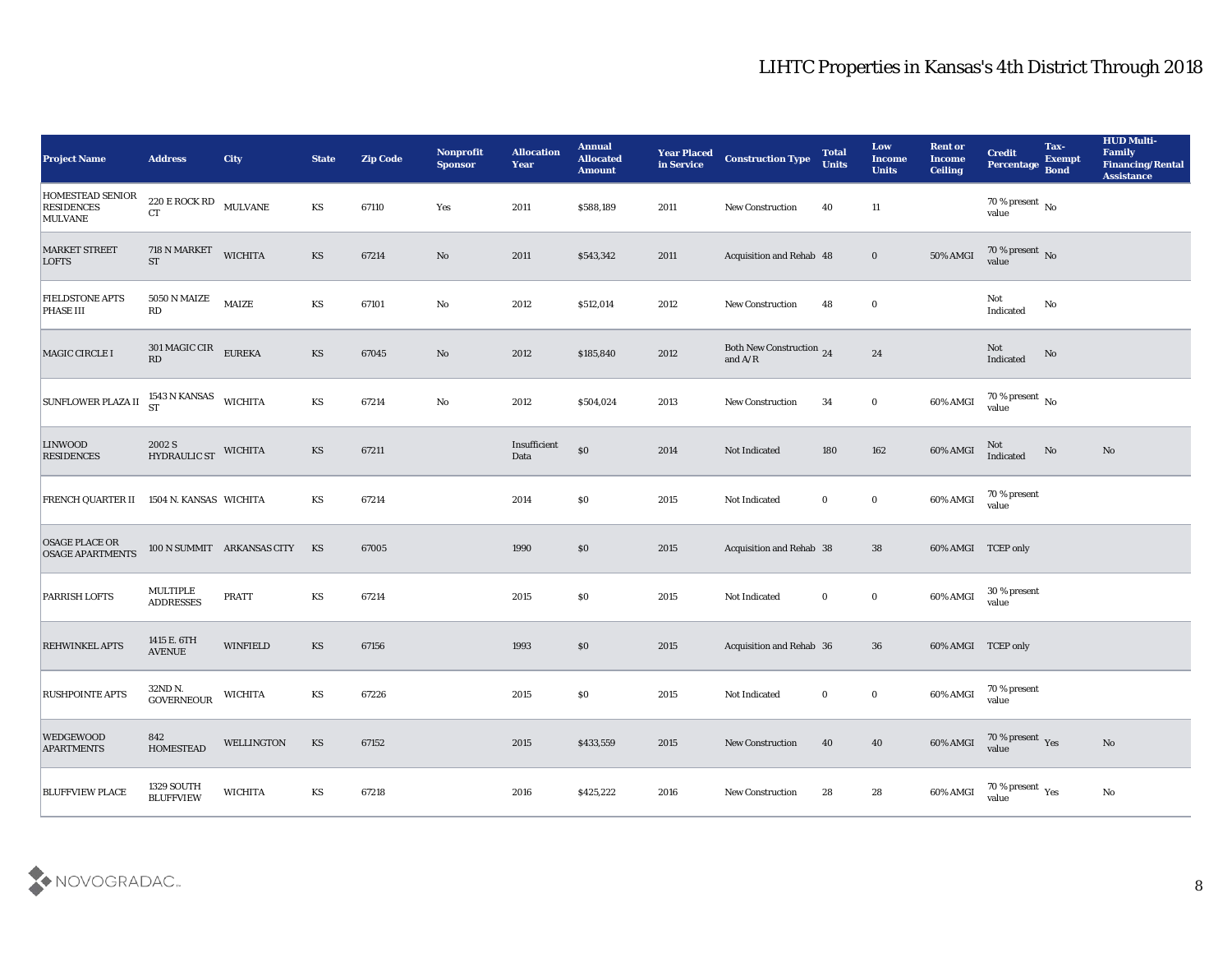| <b>Project Name</b>                                            | <b>Address</b>                                              | <b>City</b>                | <b>State</b>           | <b>Zip Code</b> | Nonprofit<br><b>Sponsor</b> | <b>Allocation</b><br><b>Year</b> | <b>Annual</b><br><b>Allocated</b><br><b>Amount</b> | <b>Year Placed</b><br>in Service | <b>Construction Type</b>                                                          | <b>Total</b><br><b>Units</b> | Low<br><b>Income</b><br><b>Units</b> | <b>Rent or</b><br><b>Income</b><br><b>Ceiling</b> | <b>Credit</b><br>Percentage             | Tax-<br><b>Exempt</b><br><b>Bond</b> | <b>HUD Multi-</b><br>Family<br>Financing/Rental<br><b>Assistance</b> |
|----------------------------------------------------------------|-------------------------------------------------------------|----------------------------|------------------------|-----------------|-----------------------------|----------------------------------|----------------------------------------------------|----------------------------------|-----------------------------------------------------------------------------------|------------------------------|--------------------------------------|---------------------------------------------------|-----------------------------------------|--------------------------------------|----------------------------------------------------------------------|
| <b>HOMESTEAD SENIOR</b><br><b>RESIDENCES</b><br><b>MULVANE</b> | $220\,\mathrm{E}\,\mathrm{ROCK}\,\mathrm{RD}$ MULVANE<br>CT |                            | KS                     | 67110           | Yes                         | 2011                             | \$588,189                                          | 2011                             | <b>New Construction</b>                                                           | 40                           | 11                                   |                                                   | $70\,\%$ present $\,$ No value          |                                      |                                                                      |
| <b>MARKET STREET</b><br><b>LOFTS</b>                           | 718 N MARKET<br><b>ST</b>                                   | <b>WICHITA</b>             | <b>KS</b>              | 67214           | No                          | 2011                             | \$543,342                                          | 2011                             | Acquisition and Rehab 48                                                          |                              | $\bf{0}$                             | 50% AMGI                                          | $70\,\%$ present $\,$ No value          |                                      |                                                                      |
| <b>FIELDSTONE APTS</b><br>PHASE III                            | <b>5050 N MAIZE</b><br>RD                                   | <b>MAIZE</b>               | KS                     | 67101           | $\mathbf{No}$               | 2012                             | \$512,014                                          | 2012                             | <b>New Construction</b>                                                           | 48                           | $\bf{0}$                             |                                                   | Not<br>Indicated                        | No                                   |                                                                      |
| MAGIC CIRCLE I                                                 | $301$ MAGIC CIR $\_$ EUREKA<br>RD                           |                            | <b>KS</b>              | 67045           | No                          | 2012                             | \$185,840                                          | 2012                             | Both New Construction 24<br>and $\ensuremath{\mathrm{A}}/\ensuremath{\mathrm{R}}$ |                              | 24                                   |                                                   | Not<br>Indicated                        | $\rm\thinspace No$                   |                                                                      |
| <b>SUNFLOWER PLAZA II</b>                                      | $1543$ N KANSAS WICHITA ST                                  |                            | KS                     | 67214           | No                          | 2012                             | \$504,024                                          | 2013                             | <b>New Construction</b>                                                           | 34                           | $\bf{0}$                             | 60% AMGI                                          | $70\,\%$ present $\,$ No value          |                                      |                                                                      |
| <b>LINWOOD</b><br><b>RESIDENCES</b>                            | 2002 S<br>HYDRAULIC ST                                      | <b>WICHITA</b>             | KS                     | 67211           |                             | Insufficient<br>Data             | $\$0$                                              | 2014                             | Not Indicated                                                                     | 180                          | 162                                  | 60% AMGI                                          | Not<br>Indicated                        | No                                   | No                                                                   |
| FRENCH QUARTER II 1504 N. KANSAS WICHITA                       |                                                             |                            | KS                     | 67214           |                             | 2014                             | $\$0$                                              | 2015                             | Not Indicated                                                                     | $\bf{0}$                     | $\bf{0}$                             | 60% AMGI                                          | 70 % present<br>value                   |                                      |                                                                      |
| <b>OSAGE PLACE OR</b><br><b>OSAGE APARTMENTS</b>               |                                                             | 100 N SUMMIT ARKANSAS CITY | KS                     | 67005           |                             | 1990                             | \$0\$                                              | 2015                             | Acquisition and Rehab 38                                                          |                              | 38                                   | 60% AMGI TCEP only                                |                                         |                                      |                                                                      |
| PARRISH LOFTS                                                  | MULTIPLE<br><b>ADDRESSES</b>                                | <b>PRATT</b>               | KS                     | 67214           |                             | 2015                             | \$0\$                                              | 2015                             | Not Indicated                                                                     | $\bf{0}$                     | $\bf{0}$                             | 60% AMGI                                          | 30 % present<br>value                   |                                      |                                                                      |
| <b>REHWINKEL APTS</b>                                          | 1415 E. 6TH<br>$\operatorname{AVENUE}$                      | <b>WINFIELD</b>            | $\mathbf{K}\mathbf{S}$ | 67156           |                             | 1993                             | $\$0$                                              | 2015                             | Acquisition and Rehab 36                                                          |                              | 36                                   | 60% AMGI TCEP only                                |                                         |                                      |                                                                      |
| <b>RUSHPOINTE APTS</b>                                         | 32ND N.<br><b>GOVERNEOUR</b>                                | <b>WICHITA</b>             | KS                     | 67226           |                             | 2015                             | \$0\$                                              | 2015                             | Not Indicated                                                                     | $\bf{0}$                     | $\bf{0}$                             | 60% AMGI                                          | 70 % present<br>value                   |                                      |                                                                      |
| <b>WEDGEWOOD</b><br><b>APARTMENTS</b>                          | 842<br><b>HOMESTEAD</b>                                     | WELLINGTON                 | $\mathbf{K}\mathbf{S}$ | 67152           |                             | 2015                             | \$433,559                                          | 2015                             | <b>New Construction</b>                                                           | 40                           | 40                                   | 60% AMGI                                          | $70\,\%$ present $\,\mathrm{Yes}$ value |                                      | $\mathbf{N}\mathbf{o}$                                               |
| <b>BLUFFVIEW PLACE</b>                                         | 1329 SOUTH<br><b>BLUFFVIEW</b>                              | <b>WICHITA</b>             | KS                     | 67218           |                             | 2016                             | \$425,222                                          | 2016                             | <b>New Construction</b>                                                           | 28                           | ${\bf 28}$                           | 60% AMGI                                          | 70 % present $_{\rm Yes}$<br>value      |                                      | $\rm No$                                                             |

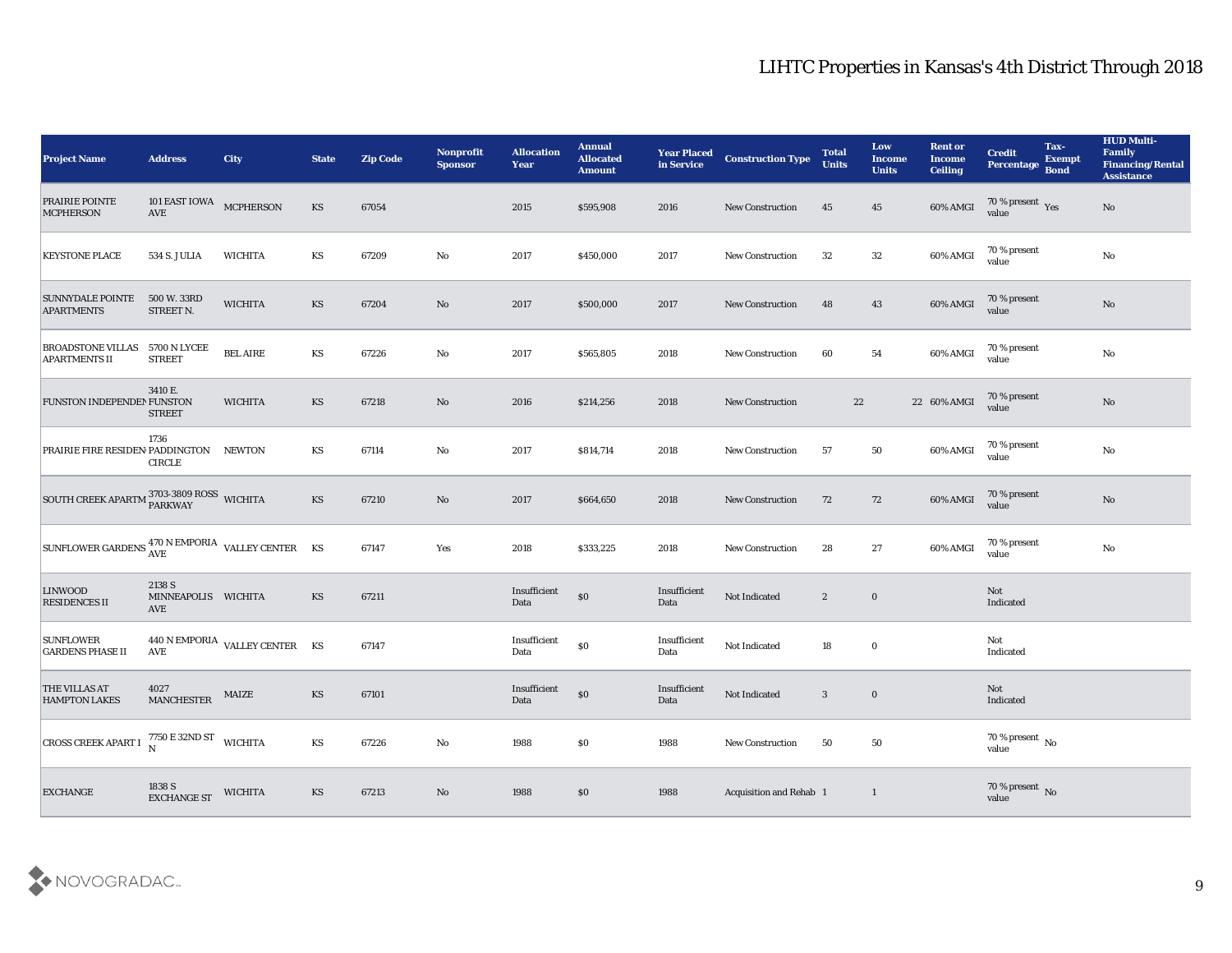| <b>Project Name</b>                                           | <b>Address</b>                                  | <b>City</b>                    | <b>State</b>           | <b>Zip Code</b> | Nonprofit<br><b>Sponsor</b> | <b>Allocation</b><br><b>Year</b> | <b>Annual</b><br><b>Allocated</b><br><b>Amount</b> | <b>Year Placed</b><br>in Service | <b>Construction Type</b> | <b>Total</b><br><b>Units</b> | Low<br><b>Income</b><br><b>Units</b> | <b>Rent or</b><br><b>Income</b><br><b>Ceiling</b> | <b>Credit</b><br>Percentage Bond | Tax-<br><b>Exempt</b> | <b>HUD Multi-</b><br>Family<br><b>Financing/Rental</b><br><b>Assistance</b> |
|---------------------------------------------------------------|-------------------------------------------------|--------------------------------|------------------------|-----------------|-----------------------------|----------------------------------|----------------------------------------------------|----------------------------------|--------------------------|------------------------------|--------------------------------------|---------------------------------------------------|----------------------------------|-----------------------|-----------------------------------------------------------------------------|
| <b>PRAIRIE POINTE</b><br><b>MCPHERSON</b>                     | 101 EAST IOWA MCPHERSON<br>$\operatorname{AVE}$ |                                | KS                     | 67054           |                             | 2015                             | \$595,908                                          | 2016                             | <b>New Construction</b>  | 45                           | 45                                   | 60% AMGI                                          | $\frac{70\%}{9}$ present Yes     |                       | No                                                                          |
| <b>KEYSTONE PLACE</b>                                         | 534 S. JULIA                                    | WICHITA                        | KS                     | 67209           | No                          | 2017                             | \$450,000                                          | 2017                             | <b>New Construction</b>  | 32                           | 32                                   | 60% AMGI                                          | 70 % present<br>value            |                       | $\rm\thinspace No$                                                          |
| <b>SUNNYDALE POINTE</b><br><b>APARTMENTS</b>                  | 500 W. 33RD<br>STREET N.                        | <b>WICHITA</b>                 | KS                     | 67204           | No                          | 2017                             | \$500,000                                          | 2017                             | <b>New Construction</b>  | 48                           | 43                                   | 60% AMGI                                          | 70 % present<br>value            |                       | $\mathbf{N}\mathbf{o}$                                                      |
| <b>BROADSTONE VILLAS 5700 N LYCEE</b><br><b>APARTMENTS II</b> | <b>STREET</b>                                   | <b>BEL AIRE</b>                | KS                     | 67226           | No                          | 2017                             | \$565,805                                          | 2018                             | <b>New Construction</b>  | 60                           | 54                                   | 60% AMGI                                          | 70 % present<br>value            |                       | $\mathbf{N}\mathbf{o}$                                                      |
| FUNSTON INDEPENDEN FUNSTON                                    | 3410 E.<br><b>STREET</b>                        | <b>WICHITA</b>                 | <b>KS</b>              | 67218           | No                          | 2016                             | \$214,256                                          | 2018                             | <b>New Construction</b>  | 22                           |                                      | 22 60% AMGI                                       | 70 % present<br>value            |                       | $\rm\thinspace No$                                                          |
| PRAIRIE FIRE RESIDEN PADDINGTON NEWTON                        | 1736<br><b>CIRCLE</b>                           |                                | KS                     | 67114           | No                          | 2017                             | \$814,714                                          | 2018                             | <b>New Construction</b>  | 57                           | 50                                   | 60% AMGI                                          | 70 % present<br>value            |                       | No                                                                          |
| SOUTH CREEK APARTM <sup>3703-3809 ROSS</sup> WICHITA          |                                                 |                                | KS                     | 67210           | No                          | 2017                             | \$664,650                                          | 2018                             | <b>New Construction</b>  | 72                           | 72                                   | 60% AMGI                                          | 70 % present<br>value            |                       | $\mathbf{N}\mathbf{o}$                                                      |
| SUNFLOWER GARDENS AVE WEDDRIA VALLEY CENTER KS                |                                                 |                                |                        | 67147           | Yes                         | 2018                             | \$333,225                                          | 2018                             | <b>New Construction</b>  | 28                           | 27                                   | 60% AMGI                                          | 70 % present<br>value            |                       | No                                                                          |
| <b>LINWOOD</b><br><b>RESIDENCES II</b>                        | 2138 S<br>MINNEAPOLIS WICHITA<br>AVE            |                                | KS                     | 67211           |                             | Insufficient<br>Data             | $\$0$                                              | Insufficient<br>Data             | Not Indicated            | $\mathbf{2}$                 | $\bf{0}$                             |                                                   | Not<br>Indicated                 |                       |                                                                             |
| <b>SUNFLOWER</b><br><b>GARDENS PHASE II</b>                   | AVE                                             | 440 N EMPORIA VALLEY CENTER KS |                        | 67147           |                             | Insufficient<br>Data             | \$0                                                | Insufficient<br>Data             | Not Indicated            | 18                           | $\bf{0}$                             |                                                   | Not<br>Indicated                 |                       |                                                                             |
| <b>THE VILLAS AT</b><br><b>HAMPTON LAKES</b>                  | 4027<br><b>MANCHESTER</b>                       | MAIZE                          | KS                     | 67101           |                             | Insufficient<br>Data             | $\$0$                                              | Insufficient<br>Data             | Not Indicated            | 3                            | $\bf{0}$                             |                                                   | Not<br>Indicated                 |                       |                                                                             |
| <b>CROSS CREEK APART I</b>                                    | 7750 E 32ND ST WICHITA                          |                                | $\mathbf{K}\mathbf{S}$ | 67226           | $\mathbf {No}$              | 1988                             | \$0                                                | 1988                             | New Construction         | 50                           | $50\,$                               |                                                   | $70\,\%$ present $\,$ No value   |                       |                                                                             |
| <b>EXCHANGE</b>                                               | $1838\;{\rm S}$ EXCHANGE ST                     | <b>WICHITA</b>                 | $\mathbf{K}\mathbf{S}$ | 67213           | $\rm\thinspace No$          | 1988                             | $\$0$                                              | 1988                             | Acquisition and Rehab 1  |                              | $\mathbf{1}$                         |                                                   | $70\,\%$ present $\,$ No value   |                       |                                                                             |

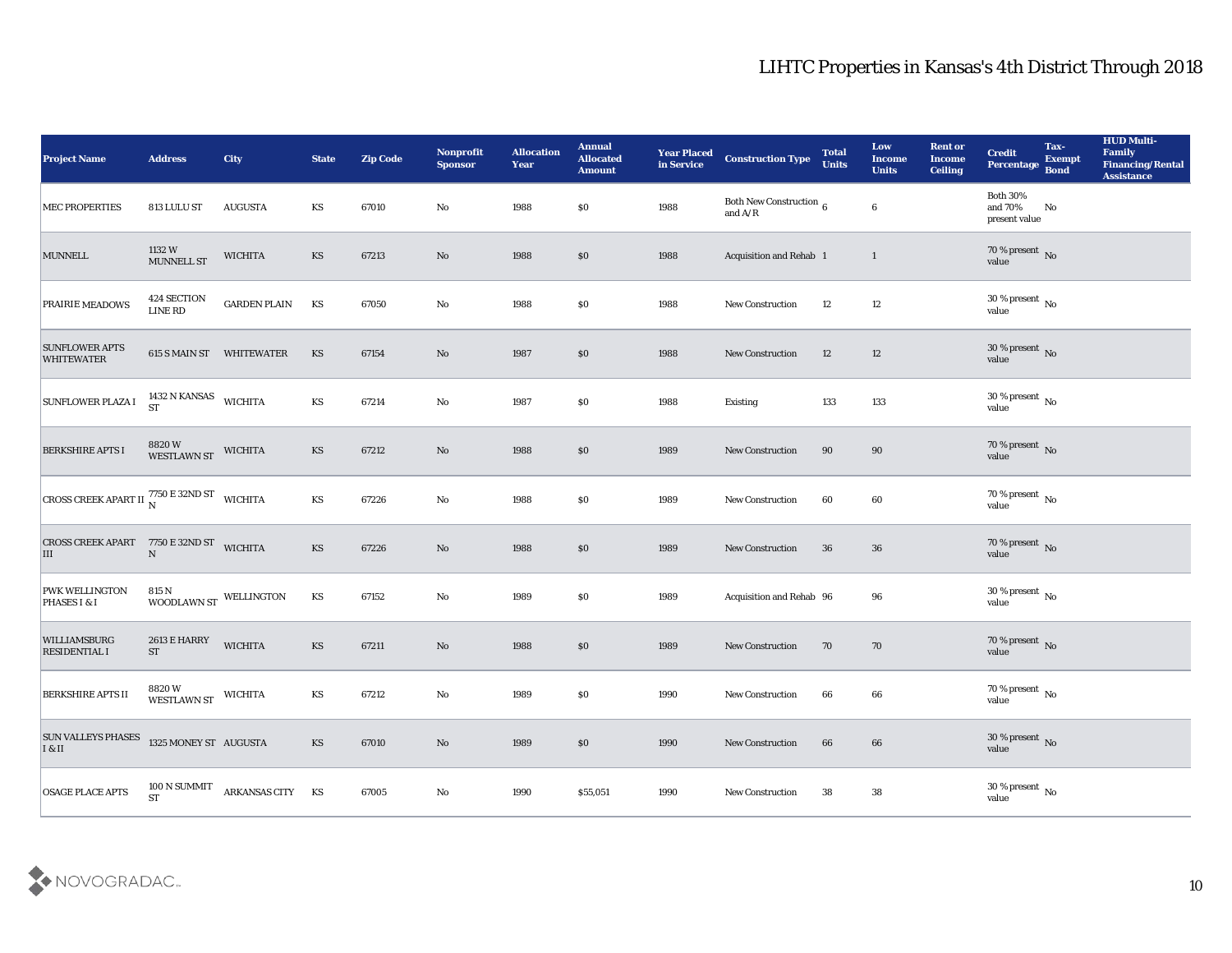| <b>Project Name</b>                                         | <b>Address</b>              | City                     | <b>State</b>           | <b>Zip Code</b> | Nonprofit<br><b>Sponsor</b> | <b>Allocation</b><br>Year | <b>Annual</b><br><b>Allocated</b><br><b>Amount</b> | <b>Year Placed<br/>in Service</b> | <b>Construction Type</b>                  | <b>Total</b><br>Units | Low<br><b>Income</b><br><b>Units</b> | <b>Rent or</b><br><b>Income</b><br><b>Ceiling</b> | <b>Credit</b><br>Percentage                 | Tax-<br><b>Exempt</b><br><b>Bond</b> | <b>HUD Multi-</b><br>Family<br><b>Financing/Rental</b><br><b>Assistance</b> |
|-------------------------------------------------------------|-----------------------------|--------------------------|------------------------|-----------------|-----------------------------|---------------------------|----------------------------------------------------|-----------------------------------|-------------------------------------------|-----------------------|--------------------------------------|---------------------------------------------------|---------------------------------------------|--------------------------------------|-----------------------------------------------------------------------------|
| <b>MEC PROPERTIES</b>                                       | 813 LULU ST                 | <b>AUGUSTA</b>           | KS                     | 67010           | No                          | 1988                      | \$0\$                                              | 1988                              | Both New Construction $\,$ 6 $\,$ and A/R |                       | $\bf 6$                              |                                                   | <b>Both 30%</b><br>and 70%<br>present value | No                                   |                                                                             |
| <b>MUNNELL</b>                                              | 1132 W<br><b>MUNNELL ST</b> | <b>WICHITA</b>           | KS                     | 67213           | No                          | 1988                      | $\$0$                                              | 1988                              | Acquisition and Rehab 1                   |                       | $\mathbf{1}$                         |                                                   | $70\,\%$ present $\,$ No value              |                                      |                                                                             |
| PRAIRIE MEADOWS                                             | 424 SECTION<br>LINE RD      | <b>GARDEN PLAIN</b>      | KS                     | 67050           | $\mathbf {No}$              | 1988                      | \$0                                                | 1988                              | New Construction                          | 12                    | 12                                   |                                                   | $30\,\%$ present $\,$ No value              |                                      |                                                                             |
| <b>SUNFLOWER APTS</b><br><b>WHITEWATER</b>                  |                             | 615 S MAIN ST WHITEWATER | KS                     | 67154           | $\mathbf{N}\mathbf{o}$      | 1987                      | \$0                                                | 1988                              | New Construction                          | 12                    | 12                                   |                                                   | $30\,\%$ present $\,$ No value              |                                      |                                                                             |
| <b>SUNFLOWER PLAZA I</b>                                    | 1432 N KANSAS WICHITA ST    |                          | $\mathbf{K}\mathbf{S}$ | 67214           | $\mathbf{No}$               | 1987                      | \$0\$                                              | 1988                              | Existing                                  | 133                   | 133                                  |                                                   | $30\,\%$ present $\,$ No value              |                                      |                                                                             |
| <b>BERKSHIRE APTS I</b>                                     | 8820 W<br>WESTLAWN ST       | <b>WICHITA</b>           | KS                     | 67212           | $\mathbf{N}\mathbf{o}$      | 1988                      | \$0                                                | 1989                              | New Construction                          | 90                    | 90                                   |                                                   | $70\,\%$ present $\,$ No value              |                                      |                                                                             |
| <b>CROSS CREEK APART II</b> $^{7750}_{N}$ E 32ND ST WICHITA |                             |                          | KS                     | 67226           | No                          | 1988                      | \$0\$                                              | 1989                              | <b>New Construction</b>                   | 60                    | 60                                   |                                                   | $70\,\%$ present $\,$ No value              |                                      |                                                                             |
| CROSS CREEK APART 7750 E 32ND ST<br>III                     | ${\bf N}$                   | <b>WICHITA</b>           | <b>KS</b>              | 67226           | $\mathbf{N}\mathbf{o}$      | 1988                      | \$0                                                | 1989                              | New Construction                          | 36                    | 36                                   |                                                   | $70\,\%$ present $\,$ No $\,$ value         |                                      |                                                                             |
| <b>PWK WELLINGTON</b><br>PHASES I & I                       | 815 N<br>WOODLAWN ST        | WELLINGTON               | KS                     | 67152           | $\mathbf{No}$               | 1989                      | \$0\$                                              | 1989                              | Acquisition and Rehab 96                  |                       | 96                                   |                                                   | $30\,\%$ present $\,$ No value              |                                      |                                                                             |
| WILLIAMSBURG<br><b>RESIDENTIAL I</b>                        | 2613 E HARRY<br><b>ST</b>   | <b>WICHITA</b>           | $\mathbf{K}\mathbf{S}$ | 67211           | $\mathbf{N}\mathbf{o}$      | 1988                      | \$0                                                | 1989                              | <b>New Construction</b>                   | 70                    | 70                                   |                                                   | $70\,\%$ present $\,$ No value              |                                      |                                                                             |
| <b>BERKSHIRE APTS II</b>                                    | 8820W<br><b>WESTLAWN ST</b> | <b>WICHITA</b>           | KS                     | 67212           | No                          | 1989                      | \$0                                                | 1990                              | <b>New Construction</b>                   | 66                    | 66                                   |                                                   | $70\,\% \,present \over value$              |                                      |                                                                             |
| <b>SUN VALLEYS PHASES</b><br>I & II                         | 1325 MONEY ST AUGUSTA       |                          | $\mathbf{K}\mathbf{S}$ | 67010           | $\mathbf {No}$              | 1989                      | \$0                                                | 1990                              | New Construction                          | 66                    | $\bf 66$                             |                                                   | $30\,\%$ present $\,$ No value              |                                      |                                                                             |
| <b>OSAGE PLACE APTS</b>                                     | 100 N SUMMIT<br><b>ST</b>   | ARKANSAS CITY KS         |                        | 67005           | ${\bf No}$                  | 1990                      | \$55,051                                           | 1990                              | <b>New Construction</b>                   | 38                    | ${\bf 38}$                           |                                                   | $30\,\%$ present $\,$ No value              |                                      |                                                                             |

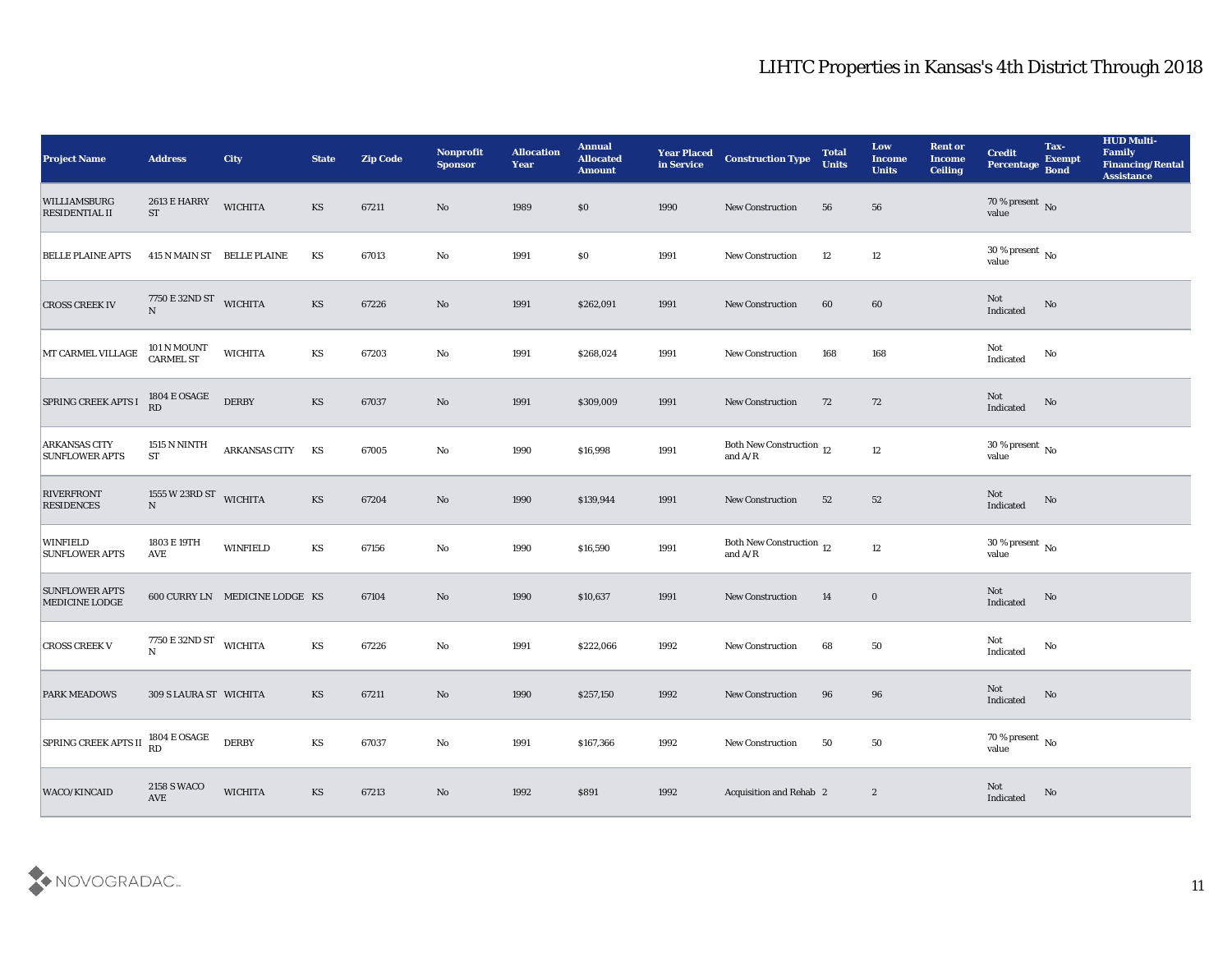| <b>Project Name</b>                           | <b>Address</b>                             | <b>City</b>                    | <b>State</b>           | <b>Zip Code</b> | Nonprofit<br><b>Sponsor</b> | <b>Allocation</b><br><b>Year</b> | <b>Annual</b><br><b>Allocated</b><br><b>Amount</b> | <b>Year Placed</b><br>in Service | <b>Construction Type</b>                                                          | <b>Total</b><br><b>Units</b> | Low<br><b>Income</b><br><b>Units</b> | <b>Rent or</b><br><b>Income</b><br><b>Ceiling</b> | <b>Credit</b><br>Percentage                | Tax-<br><b>Exempt</b><br><b>Bond</b> | <b>HUD Multi-</b><br>Family<br><b>Financing/Rental</b><br><b>Assistance</b> |
|-----------------------------------------------|--------------------------------------------|--------------------------------|------------------------|-----------------|-----------------------------|----------------------------------|----------------------------------------------------|----------------------------------|-----------------------------------------------------------------------------------|------------------------------|--------------------------------------|---------------------------------------------------|--------------------------------------------|--------------------------------------|-----------------------------------------------------------------------------|
| WILLIAMSBURG<br><b>RESIDENTIAL II</b>         | 2613 E HARRY<br><b>ST</b>                  | <b>WICHITA</b>                 | <b>KS</b>              | 67211           | No                          | 1989                             | $\$0$                                              | 1990                             | <b>New Construction</b>                                                           | 56                           | 56                                   |                                                   | $70\,\%$ present $\,$ No $\,$ value        |                                      |                                                                             |
| <b>BELLE PLAINE APTS</b>                      |                                            | 415 N MAIN ST BELLE PLAINE     | KS                     | 67013           | No                          | 1991                             | $\$0$                                              | 1991                             | New Construction                                                                  | 12                           | 12                                   |                                                   | $30\,\%$ present $\,$ No value             |                                      |                                                                             |
| <b>CROSS CREEK IV</b>                         | 7750 E 32ND ST<br>N                        | <b>WICHITA</b>                 | <b>KS</b>              | 67226           | $\mathbf{N}\mathbf{o}$      | 1991                             | \$262,091                                          | 1991                             | <b>New Construction</b>                                                           | 60                           | 60                                   |                                                   | Not<br>Indicated                           | $\rm No$                             |                                                                             |
| MT CARMEL VILLAGE                             | 101 N MOUNT<br>CARMEL ST                   | <b>WICHITA</b>                 | KS                     | 67203           | $\mathbf{No}$               | 1991                             | \$268,024                                          | 1991                             | <b>New Construction</b>                                                           | 168                          | 168                                  |                                                   | Not<br>Indicated                           | $\rm No$                             |                                                                             |
| SPRING CREEK APTS I                           | <b>1804 E OSAGE</b><br>RD                  | <b>DERBY</b>                   | <b>KS</b>              | 67037           | No                          | 1991                             | \$309,009                                          | 1991                             | <b>New Construction</b>                                                           | 72                           | 72                                   |                                                   | Not<br>Indicated                           | No                                   |                                                                             |
| <b>ARKANSAS CITY</b><br><b>SUNFLOWER APTS</b> | 1515 N NINTH<br><b>ST</b>                  | <b>ARKANSAS CITY</b>           | KS                     | 67005           | $\mathbf{No}$               | 1990                             | \$16,998                                           | 1991                             | Both New Construction 12<br>and $\ensuremath{\mathrm{A}}/\ensuremath{\mathrm{R}}$ |                              | $12\,$                               |                                                   | $30\,\%$ present $\,$ No value             |                                      |                                                                             |
| <b>RIVERFRONT</b><br><b>RESIDENCES</b>        | 1555 W 23RD ST WICHITA<br>$\mathbf N$      |                                | <b>KS</b>              | 67204           | No                          | 1990                             | \$139,944                                          | 1991                             | <b>New Construction</b>                                                           | 52                           | 52                                   |                                                   | Not<br>Indicated                           | $\rm No$                             |                                                                             |
| <b>WINFIELD</b><br><b>SUNFLOWER APTS</b>      | 1803 E 19TH<br><b>AVE</b>                  | <b>WINFIELD</b>                | KS                     | 67156           | No                          | 1990                             | \$16,590                                           | 1991                             | Both New Construction 12<br>and $\ensuremath{\mathrm{A}}/\ensuremath{\mathrm{R}}$ |                              | $12\,$                               |                                                   | 30 % present $\,$ No $\,$<br>value         |                                      |                                                                             |
| <b>SUNFLOWER APTS</b><br>MEDICINE LODGE       |                                            | 600 CURRY LN MEDICINE LODGE KS |                        | 67104           | No                          | 1990                             | \$10,637                                           | 1991                             | <b>New Construction</b>                                                           | 14                           | $\bf{0}$                             |                                                   | Not<br>Indicated                           | No                                   |                                                                             |
| <b>CROSS CREEK V</b>                          | 7750 E 32ND ST<br>$\mathbf N$              | <b>WICHITA</b>                 | KS                     | 67226           | No                          | 1991                             | \$222,066                                          | 1992                             | <b>New Construction</b>                                                           | 68                           | 50                                   |                                                   | Not<br>Indicated                           | No                                   |                                                                             |
| <b>PARK MEADOWS</b>                           | 309 S LAURA ST WICHITA                     |                                | <b>KS</b>              | 67211           | No                          | 1990                             | \$257,150                                          | 1992                             | <b>New Construction</b>                                                           | 96                           | 96                                   |                                                   | Not<br>Indicated                           | No                                   |                                                                             |
| <b>SPRING CREEK APTS II</b>                   | $1804\to \mathrm{OSAGE}$<br>RD             | <b>DERBY</b>                   | $\mathbf{K}\mathbf{S}$ | 67037           | $\mathbf {No}$              | 1991                             | \$167,366                                          | 1992                             | New Construction                                                                  | 50                           | ${\bf 50}$                           |                                                   | $70\,\%$ present $\,$ No value             |                                      |                                                                             |
| WACO/KINCAID                                  | <b>2158 S WACO</b><br>$\operatorname{AVE}$ | <b>WICHITA</b>                 | $\mathbf{K}\mathbf{S}$ | 67213           | $\rm\thinspace No$          | 1992                             | \$891                                              | 1992                             | Acquisition and Rehab 2                                                           |                              | $\boldsymbol{2}$                     |                                                   | $\operatorname{\mathsf{Not}}$<br>Indicated | No                                   |                                                                             |